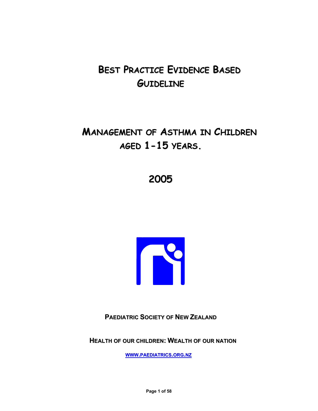# **BEST PRACTICE EVIDENCE BASED GUIDELINE**

# **MANAGEMENT OF ASTHMA IN CHILDREN AGED 1-15 YEARS.**

# **2005**



**PAEDIATRIC SOCIETY OF NEW ZEALAND**

**HEALTH OF OUR CHILDREN: WEALTH OF OUR NATION**

**WWW.PAEDIATRICS.ORG.NZ**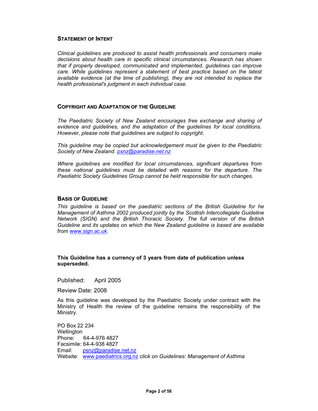#### **STATEMENT OF INTENT**

*Clinical guidelines are produced to assist health professionals and consumers make decisions about health care in specific clinical circumstances. Research has shown that if properly developed, communicated and implemented, guidelines can improve care. While guidelines represent a statement of best practice based on the latest available evidence (at the time of publishing), they are not intended to replace the health professional's judgment in each individual case.* 

#### **COPYRIGHT AND ADAPTATION OF THE GUIDELINE**

*The Paediatric Society of New Zealand encourages free exchange and sharing of evidence and guidelines, and the adaptation of the guidelines for local conditions. However, please note that guidelines are subject to copyright.* 

*This guideline may be copied but acknowledgement must be given to the Paediatric Society of New Zealand. psnz@paradise.net.nz*

*Where guidelines are modified for local circumstances, significant departures from these national guidelines must be detailed with reasons for the departure. The Paediatric Society Guidelines Group cannot be held responsible for such changes.* 

#### **BASIS OF GUIDELINE**

*This guideline is based on the paediatric sections of the British Guideline for he Management of Asthma 2002 produced jointly by the Scottish Intercollegiate Guideline Network (SIGN) and the British Thoracic Society. The full version of the British Guideline and its updates on which the New Zealand guideline is based are available from www.sign.ac.uk.* 

#### **This Guideline has a currency of 3 years from date of publication unless superseded.**

Published: April 2005

Review Date: 2008

As this guideline was developed by the Paediatric Society under contract with the Ministry of Health the review of the guideline remains the responsibility of the Ministry.

PO Box 22 234 Wellington Phone: 64-4-976 4827 Facsimile: 64-4-938 4827 Email: psnz@paradise.net.nz Website: www.paediatrics.org.nz *click on Guidelines: Management of Asthma*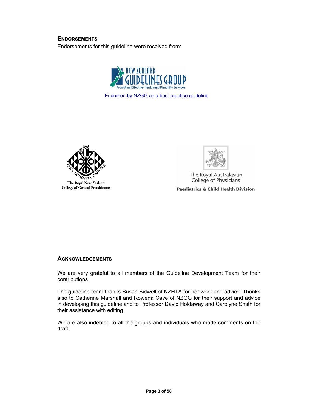### **ENDORSEMENTS**

Endorsements for this guideline were received from:



Endorsed by NZGG as a best-practice guideline



College of General Practitioners



The Royal Australasian College of Physicians

**Paediatrics & Child Health Division** 

#### **ACKNOWLEDGEMENTS**

We are very grateful to all members of the Guideline Development Team for their contributions.

The guideline team thanks Susan Bidwell of NZHTA for her work and advice. Thanks also to Catherine Marshall and Rowena Cave of NZGG for their support and advice in developing this guideline and to Professor David Holdaway and Carolyne Smith for their assistance with editing.

We are also indebted to all the groups and individuals who made comments on the draft.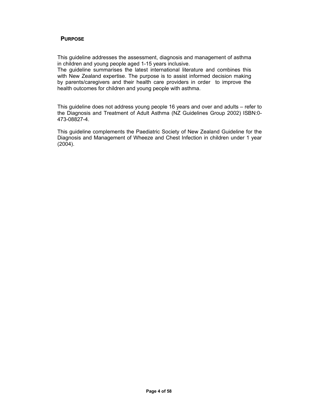#### **PURPOSE**

This guideline addresses the assessment, diagnosis and management of asthma in children and young people aged 1-15 years inclusive.

The guideline summarises the latest international literature and combines this with New Zealand expertise. The purpose is to assist informed decision making by parents/caregivers and their health care providers in order to improve the health outcomes for children and young people with asthma.

This guideline does not address young people 16 years and over and adults – refer to the Diagnosis and Treatment of Adult Asthma (NZ Guidelines Group 2002) ISBN:0- 473-08827-4.

This guideline complements the Paediatric Society of New Zealand Guideline for the Diagnosis and Management of Wheeze and Chest Infection in children under 1 year (2004).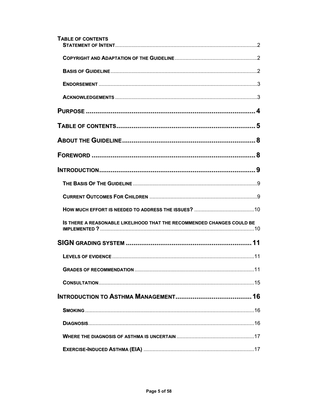| <b>TABLE OF CONTENTS</b>                                               |
|------------------------------------------------------------------------|
|                                                                        |
|                                                                        |
|                                                                        |
|                                                                        |
|                                                                        |
|                                                                        |
|                                                                        |
|                                                                        |
|                                                                        |
|                                                                        |
|                                                                        |
|                                                                        |
| IS THERE A REASONABLE LIKELIHOOD THAT THE RECOMMENDED CHANGES COULD BE |
|                                                                        |
|                                                                        |
|                                                                        |
|                                                                        |
|                                                                        |
|                                                                        |
|                                                                        |
|                                                                        |
|                                                                        |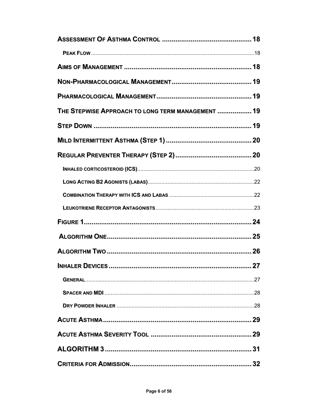| THE STEPWISE APPROACH TO LONG TERM MANAGEMENT  19 |  |
|---------------------------------------------------|--|
|                                                   |  |
|                                                   |  |
|                                                   |  |
|                                                   |  |
|                                                   |  |
|                                                   |  |
|                                                   |  |
|                                                   |  |
|                                                   |  |
|                                                   |  |
| <b>INHALER DEVICES</b><br>. 27                    |  |
|                                                   |  |
|                                                   |  |
|                                                   |  |
|                                                   |  |
|                                                   |  |
|                                                   |  |
|                                                   |  |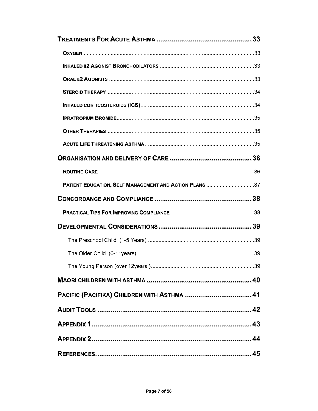| PATIENT EDUCATION, SELF MANAGEMENT AND ACTION PLANS 37 |     |
|--------------------------------------------------------|-----|
|                                                        |     |
|                                                        |     |
|                                                        |     |
|                                                        |     |
|                                                        |     |
|                                                        | .39 |
|                                                        |     |
|                                                        |     |
|                                                        |     |
|                                                        |     |
|                                                        |     |
|                                                        |     |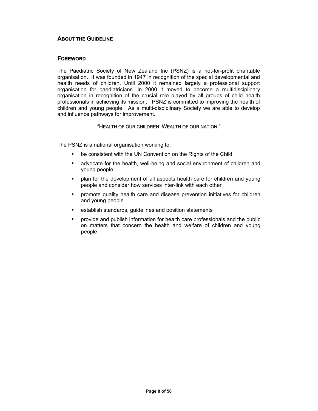#### **ABOUT THE GUIDELINE**

#### **FOREWORD**

The Paediatric Society of New Zealand Inc (PSNZ) is a not-for-profit charitable organisation. It was founded in 1947 in recognition of the special developmental and health needs of children. Until 2000 it remained largely a professional support organisation for paediatricians. In 2000 it moved to become a multidisciplinary organisation in recognition of the crucial role played by all groups of child health professionals in achieving its mission. PSNZ is committed to improving the health of children and young people. As a multi-disciplinary Society we are able to develop and influence pathways for improvement.

"HEALTH OF OUR CHILDREN: WEALTH OF OUR NATION."

The PSNZ is a national organisation working to:

- be consistent with the UN Convention on the Rights of the Child
- advocate for the health, well-being and social environment of children and young people
- plan for the development of all aspects health care for children and young people and consider how services inter-link with each other
- promote quality health care and disease prevention initiatives for children and young people
- establish standards, guidelines and position statements
- provide and publish information for health care professionals and the public on matters that concern the health and welfare of children and young people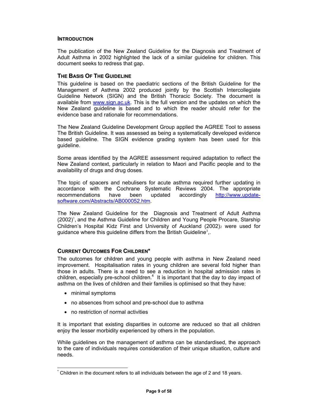#### **INTRODUCTION**

The publication of the New Zealand Guideline for the Diagnosis and Treatment of Adult Asthma in 2002 highlighted the lack of a similar guideline for children. This document seeks to redress that gap.

#### **THE BASIS OF THE GUIDELINE**

This guideline is based on the paediatric sections of the British Guideline for the Management of Asthma 2002 produced jointly by the Scottish Intercollegiate Guideline Network (SIGN) and the British Thoracic Society. The document is available from www.sign.ac.uk. This is the full version and the updates on which the New Zealand guideline is based and to which the reader should refer for the evidence base and rationale for recommendations.

The New Zealand Guideline Development Group applied the AGREE Tool to assess The British Guideline. It was assessed as being a systematically developed evidence based guideline. The SIGN evidence grading system has been used for this guideline.

Some areas identified by the AGREE assessment required adaptation to reflect the New Zealand context, particularly in relation to Maori and Pacific people and to the availability of drugs and drug doses.

The topic of spacers and nebulisers for acute asthma required further updating in accordance with the Cochrane Systematic Reviews 2004. The appropriate recommendations have been updated accordingly http://www.updatesoftware.com/Abstracts/AB000052.htm.

The New Zealand Guideline for the Diagnosis and Treatment of Adult Asthma (2002)<sup>1</sup>, and the Asthma Guideline for Children and Young People Procare, Starship Children's Hospital Kidz First and University of Auckland  $(2002)_2$  were used for guidance where this guideline differs from the British Guideline<sup>3</sup>,.

#### **CURRENT OUTCOMES FOR CHILDREN\***

The outcomes for children and young people with asthma in New Zealand need improvement. Hospitalisation rates in young children are several fold higher than those in adults. There is a need to see a reduction in hospital admission rates in children, especially pre-school children. $4$  It is important that the day to day impact of asthma on the lives of children and their families is optimised so that they have:

• minimal symptoms

 $\overline{a}$ 

- no absences from school and pre-school due to asthma
- no restriction of normal activities

It is important that existing disparities in outcome are reduced so that all children enjoy the lesser morbidity experienced by others in the population.

While guidelines on the management of asthma can be standardised, the approach to the care of individuals requires consideration of their unique situation, culture and needs.

<sup>\*</sup> Children in the document refers to all individuals between the age of 2 and 18 years.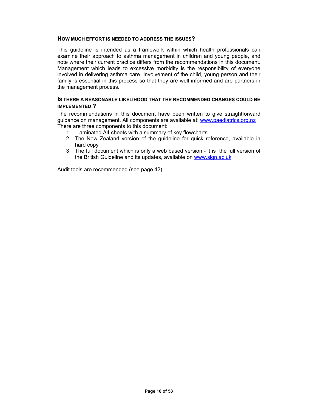#### **HOW MUCH EFFORT IS NEEDED TO ADDRESS THE ISSUES?**

This guideline is intended as a framework within which health professionals can examine their approach to asthma management in children and young people, and note where their current practice differs from the recommendations in this document. Management which leads to excessive morbidity is the responsibility of everyone involved in delivering asthma care. Involvement of the child, young person and their family is essential in this process so that they are well informed and are partners in the management process.

#### **IS THERE A REASONABLE LIKELIHOOD THAT THE RECOMMENDED CHANGES COULD BE IMPLEMENTED ?**

The recommendations in this document have been written to give straightforward guidance on management. All components are available at: www.paediatrics.org.nz There are three components to this document:

- 1. Laminated A4 sheets with a summary of key flowcharts
- 2. The New Zealand version of the guideline for quick reference, available in hard copy
- 3. The full document which is only a web based version it is the full version of the British Guideline and its updates, available on www.sign.ac.uk

Audit tools are recommended (see page 42)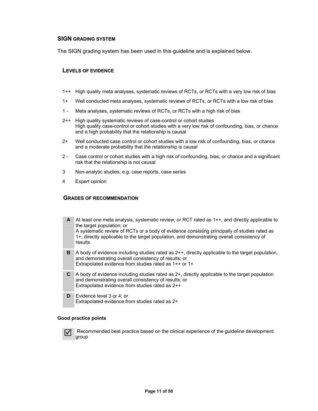#### **SIGN GRADING SYSTEM**

The SIGN grading system has been used in this guideline and is explained below.

#### **LEVELS OF EVIDENCE**

- 1++ High quality meta analyses, systematic reviews of RCTs, or RCTs with a very low risk of bias
- 1+ Well conducted meta analyses, systematic reviews of RCTs, or RCTs with a low risk of bias
- 1 Meta analyses, systematic reviews of RCTs, or RCTs with a high risk of bias
- 2++ High quality systematic reviews of case-control or cohort studies High quality case-control or cohort studies with a very low risk of confounding, bias, or chance and a high probability that the relationship is causal
- 2+ Well conducted case control or cohort studies with a low risk of confounding, bias, or chance and a moderate probability that the relationship is causal
- 2 Case control or cohort studies with a high risk of confounding, bias, or chance and a significant risk that the relationship is not causal
- 3 Non-analytic studies, e.g. case reports, case series
- 4 Expert opinion

#### **GRADES OF RECOMMENDATION**

- **A** At least one meta analysis, systematic review, or RCT rated as 1++, and directly applicable to the target population; or A systematic review of RCTs or a body of evidence consisting principally of studies rated as 1+, directly applicable to the target population, and demonstrating overall consistency of results
- **B** A body of evidence including studies rated as 2++, directly applicable to the target population, and demonstrating overall consistency of results; or Extrapolated evidence from studies rated as 1++ or 1+
- **C** A body of evidence including studies rated as 2+, directly applicable to the target population and demonstrating overall consistency of results; or Extrapolated evidence from studies rated as 2++
- **D** Evidence level 3 or 4; or Extrapolated evidence from studies rated as 2+

#### **Good practice points**



5 Recommended best practice based on the clinical experience of the guideline development group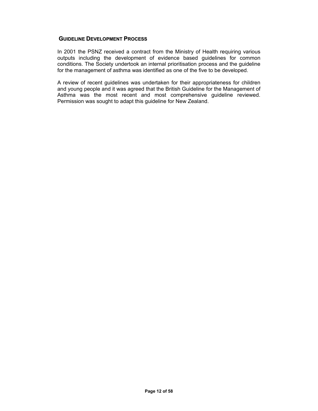#### **GUIDELINE DEVELOPMENT PROCESS**

In 2001 the PSNZ received a contract from the Ministry of Health requiring various outputs including the development of evidence based guidelines for common conditions. The Society undertook an internal prioritisation process and the guideline for the management of asthma was identified as one of the five to be developed.

A review of recent guidelines was undertaken for their appropriateness for children and young people and it was agreed that the British Guideline for the Management of Asthma was the most recent and most comprehensive guideline reviewed. Permission was sought to adapt this guideline for New Zealand.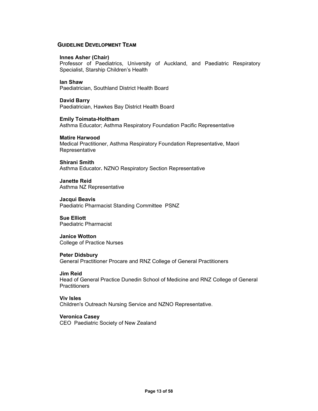#### **GUIDELINE DEVELOPMENT TEAM**

#### **Innes Asher (Chair)**

Professor of Paediatrics, University of Auckland, and Paediatric Respiratory Specialist, Starship Children's Health

#### **Ian Shaw**

Paediatrician, Southland District Health Board

# **David Barry**

Paediatrician, Hawkes Bay District Health Board

#### **Emily Toimata-Holtham**

Asthma Educator; Asthma Respiratory Foundation Pacific Representative

#### **Matire Harwood**

Medical Practitioner, Asthma Respiratory Foundation Representative, Maori **Representative** 

#### **Shirani Smith**

Asthma Educator**.** NZNO Respiratory Section Representative

**Janette Reid**  Asthma NZ Representative

**Jacqui Beavis**  Paediatric Pharmacist Standing Committee PSNZ

#### **Sue Elliott**  Paediatric Pharmacist

#### **Janice Wotton**  College of Practice Nurses

#### **Peter Didsbury**

General Practitioner Procare and RNZ College of General Practitioners

#### **Jim Reid**

Head of General Practice Dunedin School of Medicine and RNZ College of General **Practitioners** 

#### **Viv Isles**

Children's Outreach Nursing Service and NZNO Representative.

#### **Veronica Casey**

CEO Paediatric Society of New Zealand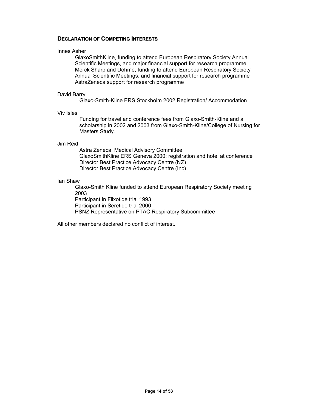#### **DECLARATION OF COMPETING INTERESTS**

#### Innes Asher

GlaxoSmithKline, funding to attend European Respiratory Society Annual Scientific Meetings, and major financial support for research programme Merck Sharp and Dohme, funding to attend European Respiratory Society Annual Scientific Meetings, and financial support for research programme AstraZeneca support for research programme

#### David Barry

Glaxo-Smith-Kline ERS Stockholm 2002 Registration/ Accommodation

#### Viv Isles

 Funding for travel and conference fees from Glaxo-Smith-Kline and a scholarship in 2002 and 2003 from Glaxo-Smith-Kline/College of Nursing for Masters Study.

#### Jim Reid

Astra Zeneca Medical Advisory Committee GlaxoSmithKline ERS Geneva 2000: registration and hotel at conference Director Best Practice Advocacy Centre (NZ) Director Best Practice Advocacy Centre (Inc)

#### Ian Shaw

Glaxo-Smith Kline funded to attend European Respiratory Society meeting 2003 Participant in Flixotide trial 1993 Participant in Seretide trial 2000 PSNZ Representative on PTAC Respiratory Subcommittee

All other members declared no conflict of interest.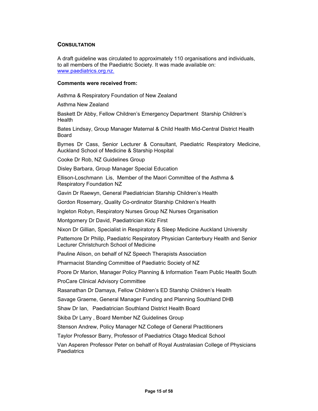#### **CONSULTATION**

A draft guideline was circulated to approximately 110 organisations and individuals, to all members of the Paediatric Society. It was made available on: www.paediatrics.org.nz.

#### **Comments were received from:**

Asthma & Respiratory Foundation of New Zealand

Asthma New Zealand

Baskett Dr Abby, Fellow Children's Emergency Department Starship Children's Health

Bates Lindsay, Group Manager Maternal & Child Health Mid-Central District Health Board

Byrnes Dr Cass, Senior Lecturer & Consultant, Paediatric Respiratory Medicine, Auckland School of Medicine & Starship Hospital

Cooke Dr Rob, NZ Guidelines Group

Disley Barbara, Group Manager Special Education

Ellison-Loschmann Lis, Member of the Maori Committee of the Asthma & Respiratory Foundation NZ

Gavin Dr Raewyn, General Paediatrician Starship Children's Health

Gordon Rosemary, Quality Co-ordinator Starship Children's Health

Ingleton Robyn, Respiratory Nurses Group NZ Nurses Organisation

Montgomery Dr David, Paediatrician Kidz First

Nixon Dr Gillian, Specialist in Respiratory & Sleep Medicine Auckland University

Pattemore Dr Philip, Paediatric Respiratory Physician Canterbury Health and Senior Lecturer Christchurch School of Medicine

Pauline Alison, on behalf of NZ Speech Therapists Association

Pharmacist Standing Committee of Paediatric Society of NZ

Poore Dr Marion, Manager Policy Planning & Information Team Public Health South

ProCare Clinical Advisory Committee

Rasanathan Dr Damaya, Fellow Children's ED Starship Children's Health

Savage Graeme, General Manager Funding and Planning Southland DHB

Shaw Dr Ian, Paediatrician Southland District Health Board

Skiba Dr Larry , Board Member NZ Guidelines Group

Stenson Andrew, Policy Manager NZ College of General Practitioners

Taylor Professor Barry, Professor of Paediatrics Otago Medical School

Van Asperen Professor Peter on behalf of Royal Australasian College of Physicians **Paediatrics**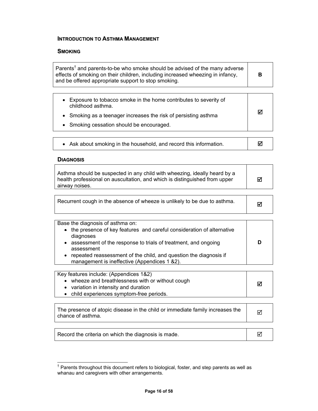#### **INTRODUCTION TO ASTHMA MANAGEMENT**

#### **SMOKING**

| Parents <sup>†</sup> and parents-to-be who smoke should be advised of the many adverse<br>effects of smoking on their children, including increased wheezing in infancy,<br>and be offered appropriate support to stop smoking. | в |
|---------------------------------------------------------------------------------------------------------------------------------------------------------------------------------------------------------------------------------|---|
|---------------------------------------------------------------------------------------------------------------------------------------------------------------------------------------------------------------------------------|---|

| • Exposure to tobacco smoke in the home contributes to severity of<br>childhood asthma. |  |
|-----------------------------------------------------------------------------------------|--|
| • Smoking as a teenager increases the risk of persisting asthma                         |  |
| • Smoking cessation should be encouraged.                                               |  |
|                                                                                         |  |

| • Ask about smoking in the household, and record this information. |  |
|--------------------------------------------------------------------|--|
|--------------------------------------------------------------------|--|

#### **DIAGNOSIS**

| Asthma should be suspected in any child with wheezing, ideally heard by a<br>health professional on auscultation, and which is distinguished from upper<br>airway noises. | ☑ |
|---------------------------------------------------------------------------------------------------------------------------------------------------------------------------|---|
|                                                                                                                                                                           |   |
| Recurrent cough in the absence of wheeze is unlikely to be due to asthma.                                                                                                 | М |

Base the diagnosis of asthma on:

| • the presence of key features and careful consideration of alternative<br>diagnoses<br>assessment of the response to trials of treatment, and ongoing<br>assessment<br>repeated reassessment of the child, and question the diagnosis if<br>management is ineffective (Appendices 1 &2). | D |
|-------------------------------------------------------------------------------------------------------------------------------------------------------------------------------------------------------------------------------------------------------------------------------------------|---|
|                                                                                                                                                                                                                                                                                           |   |

| Key features include: (Appendices 1&2)            |   |
|---------------------------------------------------|---|
| • wheeze and breathlessness with or without cough | ☑ |
| • variation in intensity and duration             |   |
| • child experiences symptom-free periods.         |   |

| The presence of atopic disease in the child or immediate family increases the<br>chance of asthma. |  |
|----------------------------------------------------------------------------------------------------|--|
|----------------------------------------------------------------------------------------------------|--|

Record the criteria on which the diagnosis is made.  $\Box$ 

 † Parents throughout this document refers to biological, foster, and step parents as well as whanau and caregivers with other arrangements.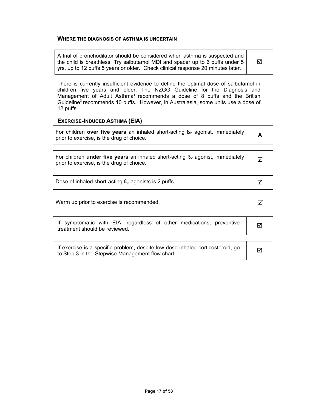#### **WHERE THE DIAGNOSIS OF ASTHMA IS UNCERTAIN**

| A trial of bronchodilator should be considered when asthma is suspected and<br>☑<br>the child is breathless. Try salbutamol MDI and spacer up to 6 puffs under 5<br>yrs, up to 12 puffs 5 years or older. Check clinical response 20 minutes later. |  |
|-----------------------------------------------------------------------------------------------------------------------------------------------------------------------------------------------------------------------------------------------------|--|
|-----------------------------------------------------------------------------------------------------------------------------------------------------------------------------------------------------------------------------------------------------|--|

There is currently insufficient evidence to define the optimal dose of salbutamol in children five years and older. The NZGG Guideline for the Diagnosis and Management of Adult Asthma<sup>1</sup> recommends a dose of 8 puffs and the British Guideline<sup>3</sup> recommends 10 puffs. However, in Australasia, some units use a dose of 12 puffs.

#### **EXERCISE-INDUCED ASTHMA (EIA)**

| For children over five years an inhaled short-acting $\beta_2$ agonist, immediately |  |
|-------------------------------------------------------------------------------------|--|
| prior to exercise, is the drug of choice.                                           |  |

| For children <b>under five years</b> an inhaled short-acting $\beta_2$ agonist, immediately |  |
|---------------------------------------------------------------------------------------------|--|
| prior to exercise, is the drug of choice.                                                   |  |

|  | Dose of inhaled short-acting $\beta_2$ agonists is 2 puffs. |  |
|--|-------------------------------------------------------------|--|
|--|-------------------------------------------------------------|--|

| Warm up prior to exercise is recommended. |  |
|-------------------------------------------|--|
|-------------------------------------------|--|

| If symptomatic with EIA, regardless of other medications, preventive |  |  |  |
|----------------------------------------------------------------------|--|--|--|
| treatment should be reviewed.                                        |  |  |  |

| If exercise is a specific problem, despite low dose inhaled corticosteroid, go<br>to Step 3 in the Stepwise Management flow chart. |  |
|------------------------------------------------------------------------------------------------------------------------------------|--|
|------------------------------------------------------------------------------------------------------------------------------------|--|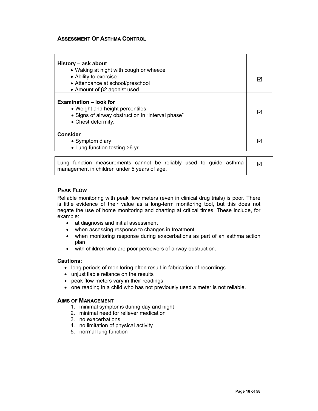#### **ASSESSMENT OF ASTHMA CONTROL**

| History - ask about<br>• Waking at night with cough or wheeze<br>• Ability to exercise<br>• Attendance at school/preschool<br>• Amount of $\beta$ 2 agonist used. | M |
|-------------------------------------------------------------------------------------------------------------------------------------------------------------------|---|
| <b>Examination – look for</b><br>• Weight and height percentiles<br>• Signs of airway obstruction in "interval phase"<br>• Chest deformity.                       |   |
| Consider<br>• Symptom diary<br>• Lung function testing >6 yr.                                                                                                     | M |

Lung function measurements cannot be reliably used to guide asthma management in children under 5 years of age. ⊠

#### **PEAK FLOW**

Reliable monitoring with peak flow meters (even in clinical drug trials) is poor. There is little evidence of their value as a long-term monitoring tool, but this does not negate the use of home monitoring and charting at critical times. These include, for example:

- at diagnosis and initial assessment
- when assessing response to changes in treatment
- when monitoring response during exacerbations as part of an asthma action plan
- with children who are poor perceivers of airway obstruction.

#### **Cautions:**

- long periods of monitoring often result in fabrication of recordings
- unjustifiable reliance on the results
- peak flow meters vary in their readings
- one reading in a child who has not previously used a meter is not reliable.

#### **AIMS OF MANAGEMENT**

- 1. minimal symptoms during day and night
- 2. minimal need for reliever medication
- 3. no exacerbations
- 4. no limitation of physical activity
- 5. normal lung function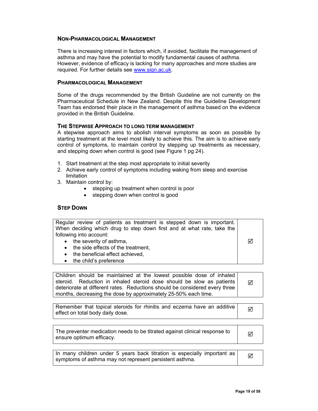#### **NON-PHARMACOLOGICAL MANAGEMENT**

There is increasing interest in factors which, if avoided, facilitate the management of asthma and may have the potential to modify fundamental causes of asthma. However, evidence of efficacy is lacking for many approaches and more studies are required. For further details see www.sign.ac.uk.

#### **PHARMACOLOGICAL MANAGEMENT**

Some of the drugs recommended by the British Guideline are not currently on the Pharmaceutical Schedule in New Zealand. Despite this the Guideline Development Team has endorsed their place in the management of asthma based on the evidence provided in the British Guideline.

#### **THE STEPWISE APPROACH TO LONG TERM MANAGEMENT**

A stepwise approach aims to abolish interval symptoms as soon as possible by starting treatment at the level most likely to achieve this. The aim is to achieve early control of symptoms, to maintain control by stepping up treatments as necessary, and stepping down when control is good (see Figure 1 pg 24).

- 1. Start treatment at the step most appropriate to initial severity
- 2. Achieve early control of symptoms including waking from sleep and exercise limitation
- 3. Maintain control by:
	- stepping up treatment when control is poor
	- stepping down when control is good

#### **STEP DOWN**

| Regular review of patients as treatment is stepped down is important.  |   |
|------------------------------------------------------------------------|---|
| When deciding which drug to step down first and at what rate, take the |   |
| following into account:                                                |   |
| • the severity of asthma,                                              | ☑ |
| • the side effects of the treatment,                                   |   |
| • the beneficial effect achieved,                                      |   |
| • the child's preference                                               |   |

Children should be maintained at the lowest possible dose of inhaled steroid. Reduction in inhaled steroid dose should be slow as patients deteriorate at different rates. Reductions should be considered every three months, decreasing the dose by approximately 25-50% each time. 5

Remember that topical steroids for rhinitis and eczema have an additive **or an** and effect on total body daily dose.

The preventer medication needs to be titrated against clinical response to  $\Box$ 

In many children under 5 years back titration is especially important as  $\frac{1}{2}$  symptoms of asthma may not represent persistent asthma.

**Page 19 of 58**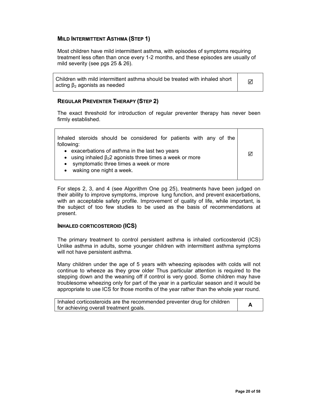#### **MILD INTERMITTENT ASTHMA (STEP 1)**

Most children have mild intermittent asthma, with episodes of symptoms requiring treatment less often than once every 1-2 months, and these episodes are usually of mild severity (see pgs 25 & 26).

Children with mild intermittent asthma should be treated with inhaled short  $\frac{1}{2}$  acting  $\beta_2$  agonists as needed

#### **REGULAR PREVENTER THERAPY (STEP 2)**

The exact threshold for introduction of regular preventer therapy has never been firmly established.

| Inhaled steroids should be considered for patients with any of the<br>following:                                                                                                                      |  |  |  |
|-------------------------------------------------------------------------------------------------------------------------------------------------------------------------------------------------------|--|--|--|
| • exacerbations of asthma in the last two years<br>• using inhaled $\beta_2$ agonists three times a week or more<br>• symptomatic three times a week or more<br>waking one night a week.<br>$\bullet$ |  |  |  |

For steps 2, 3, and 4 (see Algorithm One pg 25), treatments have been judged on their ability to improve symptoms, improve lung function, and prevent exacerbations, with an acceptable safety profile. Improvement of quality of life, while important, is the subject of too few studies to be used as the basis of recommendations at present.

#### **INHALED CORTICOSTEROID (ICS)**

The primary treatment to control persistent asthma is inhaled corticosteroid (ICS) Unlike asthma in adults, some younger children with intermittent asthma symptoms will not have persistent asthma.

Many children under the age of 5 years with wheezing episodes with colds will not continue to wheeze as they grow older Thus particular attention is required to the stepping down and the weaning off if control is very good. Some children may have troublesome wheezing only for part of the year in a particular season and it would be appropriate to use ICS for those months of the year rather than the whole year round.

| Inhaled corticosteroids are the recommended preventer drug for children |  |
|-------------------------------------------------------------------------|--|
| for achieving overall treatment goals.                                  |  |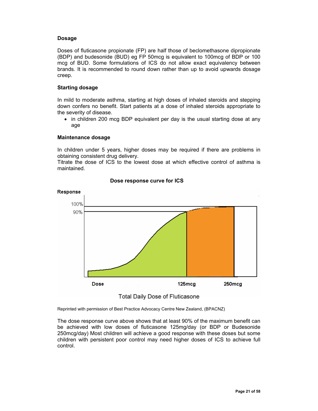#### **Dosage**

Doses of fluticasone propionate (FP) are half those of beclomethasone dipropionate (BDP) and budesonide (BUD) eg FP 50mcg is equivalent to 100mcg of BDP or 100 mcg of BUD. Some formulations of ICS do not allow exact equivalency between brands. It is recommended to round down rather than up to avoid upwards dosage creep.

#### **Starting dosage**

In mild to moderate asthma, starting at high doses of inhaled steroids and stepping down confers no benefit. Start patients at a dose of inhaled steroids appropriate to the severity of disease.

• in children 200 mcg BDP equivalent per day is the usual starting dose at any age

#### **Maintenance dosage**

In children under 5 years, higher doses may be required if there are problems in obtaining consistent drug delivery.

Titrate the dose of ICS to the lowest dose at which effective control of asthma is maintained.



#### **Dose response curve for ICS**



Reprinted with permission of Best Practice Advocacy Centre New Zealand, (BPACNZ)

The dose response curve above shows that at least 90% of the maximum benefit can be achieved with low doses of fluticasone 125mg/day (or BDP or Budesonide 250mcg/day) Most children will achieve a good response with these doses but some children with persistent poor control may need higher doses of ICS to achieve full control.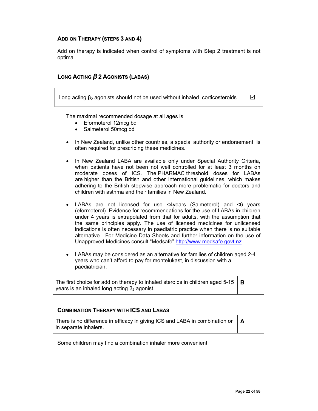#### **ADD ON THERAPY (STEPS 3 AND 4)**

Add on therapy is indicated when control of symptoms with Step 2 treatment is not optimal.

#### **LONG ACTING** *β* **2 AGONISTS (LABAS)**

Long acting β<sub>2</sub> agonists should not be used without inhaled corticosteroids.  $\Box$   $\Box$ 

The maximal recommended dosage at all ages is

- Eformoterol 12mcg bd
- Salmeterol 50mcg bd
- In New Zealand, unlike other countries, a special authority or endorsement is often required for prescribing these medicines.
- In New Zealand LABA are available only under Special Authority Criteria, when patients have not been not well controlled for at least 3 months on moderate doses of ICS. The PHARMAC threshold doses for LABAs are higher than the British and other international guidelines, which makes adhering to the British stepwise approach more problematic for doctors and children with asthma and their families in New Zealand.
- LABAs are not licensed for use <4years (Salmeterol) and <6 years (eformoterol). Evidence for recommendations for the use of LABAs in children under 4 years is extrapolated from that for adults, with the assumption that the same principles apply. The use of licensed medicines for unlicensed indications is often necessary in paediatric practice when there is no suitable alternative. For Medicine Data Sheets and further information on the use of Unapproved Medicines consult "Medsafe" http://www.medsafe.govt.nz
- LABAs may be considered as an alternative for families of children aged 2-4 years who can't afford to pay for montelukast, in discussion with a paediatrician.

| The first choice for add on therapy to inhaled steroids in children aged 5-15 $\vert$ <b>B</b> |  |
|------------------------------------------------------------------------------------------------|--|
| years is an inhaled long acting $\beta_2$ agonist.                                             |  |

#### **COMBINATION THERAPY WITH ICS AND LABAS**

| There is no difference in efficacy in giving ICS and LABA in combination or $\mathbf{A}$ |  |
|------------------------------------------------------------------------------------------|--|
| in separate inhalers.                                                                    |  |

Some children may find a combination inhaler more convenient.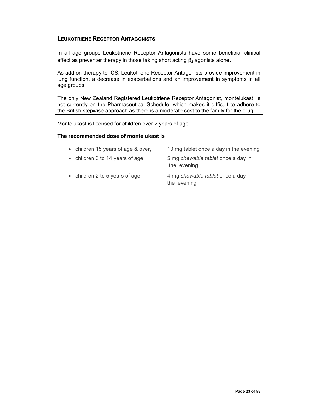#### **LEUKOTRIENE RECEPTOR ANTAGONISTS**

In all age groups Leukotriene Receptor Antagonists have some beneficial clinical effect as preventer therapy in those taking short acting  $\beta_2$  agonists alone.

As add on therapy to ICS, Leukotriene Receptor Antagonists provide improvement in lung function, a decrease in exacerbations and an improvement in symptoms in all age groups.

The only New Zealand Registered Leukotriene Receptor Antagonist, montelukast, is not currently on the Pharmaceutical Schedule, which makes it difficult to adhere to the British stepwise approach as there is a moderate cost to the family for the drug.

Montelukast is licensed for children over 2 years of age.

#### **The recommended dose of montelukast is**

| • children 15 years of age & over, | 10 mg tablet once a day in the evening            |
|------------------------------------|---------------------------------------------------|
| • children 6 to 14 years of age,   | 5 mg chewable tablet once a day in<br>the evening |
| • children 2 to 5 years of age,    | 4 mg chewable tablet once a day in<br>the evening |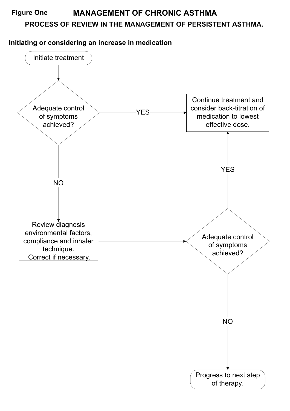# **PROCESS OF REVIEW IN THE MANAGEMENT OF PERSISTENT ASTHMA. Figure One MANAGEMENT OF CHRONIC ASTHMA**

**Initiating or considering an increase in medication**

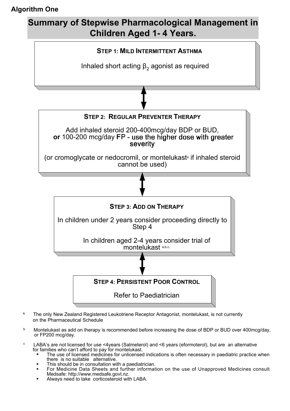# **Algorithm One**

# **Summary of Stepwise Pharmacological Management in Children Aged 1- 4 Years.**



- a. The only New Zealand Registered Leukotriene Receptor Antagonist, montelukast, is not currently on the Pharmaceutical Schedule
- b Montelukast as add on therapy is recommended before increasing the dose of BDP or BUD over 400mcg/day, or FP200 mcg/day.
- c LABA's are not licensed for use <4years (Salmeterol) and <6 years (eformoterol), but are an alternative for families who can't afford to pay for montelukast.
	- The use of licensed medicines for unlicensed indications is often necessary in paediatric practice when there is no suitable alternative.
	- This should be in consultation with a paediatrician.
	- For Medicine Data Sheets and further information on the use of Unapproved Medicines consult Medsafe: http://www.medsafe.govt.nz.
	- Always need to take corticosteroid with LABA.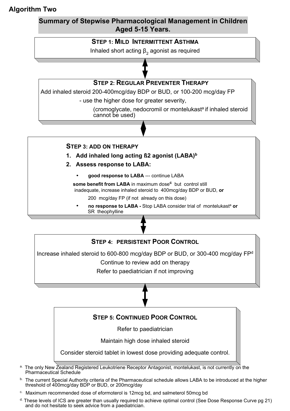# **Algorithm Two**

# **Summary of Stepwise Pharmacological Management in Children Aged 5-15 Years.**



Inhaled short acting  $β_2$  agonist as required

# **STEP 2: REGULAR PREVENTER THERAPY**

Add inhaled steroid 200-400mcg/day BDP or BUD, or 100-200 mcg/day FP

- use the higher dose for greater severity,

(cromoglycate, nedocromil or montelukasta if inhaled steroid cannot be used)

## **STEP 3: ADD ON THERAPY**

**1.** Add inhaled long acting **ß2** agonist (LABA)<sup>b</sup>

- **2. Assess response to LABA:**
	- **good response to LABA** --- continue LABA

 **some benefit from LABA** in maximum dose**c** but control still inadequate, increase inhaled steroid to 400mcg/day BDP or BUD, **or**

- 200 mcg/day FP (if not already on this dose)
- **no response to LABA -** Stop LABA consider trial of montelukast<sup>a</sup> or SR theophylline



- <sup>a.</sup> The only New Zealand Registered Leukotriene Receptor Antagonist, montelukast, is not currently on the Pharmaceutical Schedule
- b. The current Special Authority criteria of the Pharmaceutical schedule allows LABA to be introduced at the higher threshold of 400mcg/day BDP or BUD, or 200mcg/day
- c. Maximum recommended dose of eformoterol is 12mcg bd, and salmeterol 50mcg bd
- d. These levels of ICS are greater than usually required to achieve optimal control (See Dose Response Curve pg 21) and do not hesitate to seek advice from a paediatrician.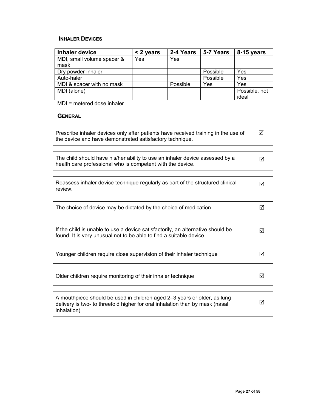## **INHALER DEVICES**

| Inhaler device             | < 2 years | 2-4 Years | 5-7 Years | 8-15 years    |
|----------------------------|-----------|-----------|-----------|---------------|
| MDI, small volume spacer & | Yes       | Yes       |           |               |
| mask                       |           |           |           |               |
| Dry powder inhaler         |           |           | Possible  | Yes           |
| Auto-haler                 |           |           | Possible  | Yes           |
| MDI & spacer with no mask  |           | Possible  | Yes       | Yes           |
| MDI (alone)                |           |           |           | Possible, not |
|                            |           |           |           | ideal         |

MDI = metered dose inhaler

#### **GENERAL**

| Prescribe inhaler devices only after patients have received training in the use of |  |
|------------------------------------------------------------------------------------|--|
| the device and have demonstrated satisfactory technique.                           |  |

| Reassess inhaler device technique regularly as part of the structured clinical |  |
|--------------------------------------------------------------------------------|--|
| I review.                                                                      |  |

| The choice of device may be dictated by the choice of medication. |  |
|-------------------------------------------------------------------|--|
|                                                                   |  |

| Younger children require close supervision of their inhaler technique |  |
|-----------------------------------------------------------------------|--|
|-----------------------------------------------------------------------|--|

| Older children require monitoring of their inhaler technique |  |
|--------------------------------------------------------------|--|
|--------------------------------------------------------------|--|

| A mouthpiece should be used in children aged 2-3 years or older, as lung<br>delivery is two- to threefold higher for oral inhalation than by mask (nasal | ☑ |
|----------------------------------------------------------------------------------------------------------------------------------------------------------|---|
| I inhalation)                                                                                                                                            |   |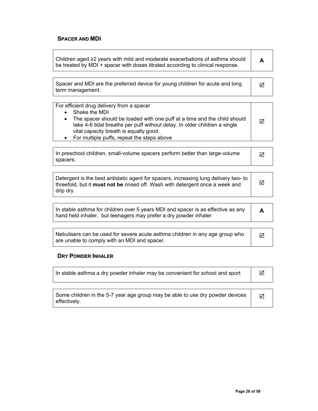### **SPACER AND MDI**

| Children aged ≥2 years with mild and moderate exacerbations of asthma should<br>be treated by MDI + spacer with doses titrated according to clinical response.                                                                                                                                                                        | A |
|---------------------------------------------------------------------------------------------------------------------------------------------------------------------------------------------------------------------------------------------------------------------------------------------------------------------------------------|---|
|                                                                                                                                                                                                                                                                                                                                       |   |
| Spacer and MDI are the preferred device for young children for acute and long<br>term management.                                                                                                                                                                                                                                     | ☑ |
|                                                                                                                                                                                                                                                                                                                                       |   |
| For efficient drug delivery from a spacer<br>Shake the MDI<br>$\bullet$<br>The spacer should be loaded with one puff at a time and the child should<br>$\bullet$<br>take 4-6 tidal breaths per puff without delay. In older children a single<br>vital capacity breath is equally good.<br>For multiple puffs, repeat the steps above | ☑ |
|                                                                                                                                                                                                                                                                                                                                       |   |
| In preschool children, small-volume spacers perform better than large-volume<br>spacers.                                                                                                                                                                                                                                              | ☑ |
|                                                                                                                                                                                                                                                                                                                                       |   |
| Detergent is the best antistatic agent for spacers, increasing lung delivery two- to<br>threefold, but it must not be rinsed off. Wash with detergent once a week and<br>drip dry                                                                                                                                                     | ⊠ |
|                                                                                                                                                                                                                                                                                                                                       |   |
| In stable asthma for children over 5 years MDI and spacer is as effective as any<br>hand held inhaler, but teenagers may prefer a dry powder inhaler                                                                                                                                                                                  | A |
|                                                                                                                                                                                                                                                                                                                                       |   |
| Abala dia ana kaominina dia kaominina mpikampiasa ny kaominina dia mpikampia                                                                                                                                                                                                                                                          |   |

#### Nebulisers can be used for severe acute asthma children in any age group who are unable to comply with an MDI and spacer. 区

#### **DRY POWDER INHALER**

| In stable asthma a dry powder inhaler may be convenient for school and sport                  | ⋈ |
|-----------------------------------------------------------------------------------------------|---|
| Some children in the 5-7 year age group may be able to use dry powder devices<br>effectively. | ☑ |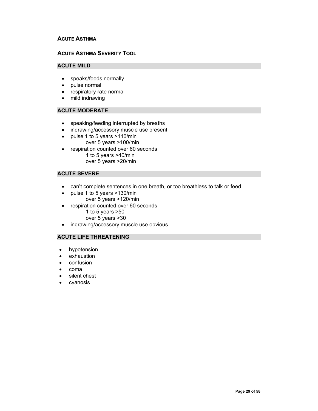#### **ACUTE ASTHMA**

#### **ACUTE ASTHMA SEVERITY TOOL**

#### **ACUTE MILD**

- speaks/feeds normally
- pulse normal
- respiratory rate normal
- mild indrawing

#### **ACUTE MODERATE**

- speaking/feeding interrupted by breaths
- indrawing/accessory muscle use present
- pulse 1 to 5 years >110/min over 5 years >100/min
- respiration counted over 60 seconds 1 to 5 years >40/min over 5 years >20/min

#### **ACUTE SEVERE**

- can't complete sentences in one breath, or too breathless to talk or feed
- pulse 1 to 5 years >130/min over 5 years >120/min
- respiration counted over 60 seconds 1 to 5 years >50
	- over 5 years >30
- indrawing/accessory muscle use obvious

### **ACUTE LIFE THREATENING**

- hypotension
- exhaustion
- confusion
- coma
- silent chest
- cyanosis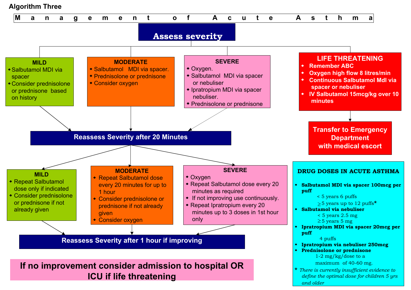# **Algorithm Three**

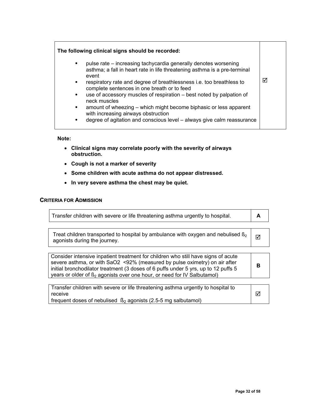#### **The following clinical signs should be recorded:**

- pulse rate increasing tachycardia generally denotes worsening asthma; a fall in heart rate in life threatening asthma is a pre-terminal event
- respiratory rate and degree of breathlessness i.e. too breathless to complete sentences in one breath or to feed
- use of accessory muscles of respiration best noted by palpation of neck muscles
- amount of wheezing which might become biphasic or less apparent with increasing airways obstruction
- degree of agitation and conscious level always give calm reassurance

#### **Note:**

- **Clinical signs may correlate poorly with the severity of airways obstruction.**
- **Cough is not a marker of severity**
- **Some children with acute asthma do not appear distressed.**
- **In very severe asthma the chest may be quiet.**

#### **CRITERIA FOR ADMISSION**

| Transfer children with severe or life threatening asthma urgently to hospital.                                                                                                                                                                                                                                                               | A |
|----------------------------------------------------------------------------------------------------------------------------------------------------------------------------------------------------------------------------------------------------------------------------------------------------------------------------------------------|---|
|                                                                                                                                                                                                                                                                                                                                              |   |
| Treat children transported to hospital by ambulance with oxygen and nebulised $\mathfrak{g}_2$<br>agonists during the journey.                                                                                                                                                                                                               | М |
|                                                                                                                                                                                                                                                                                                                                              |   |
| Consider intensive inpatient treatment for children who still have signs of acute<br>severe asthma, or with SaO2 <92% (measured by pulse oximetry) on air after<br>initial bronchodilator treatment (3 doses of 6 puffs under 5 yrs, up to 12 puffs 5<br>years or older of B <sub>2</sub> agonists over one hour, or need for IV Salbutamol) |   |

| Transfer children with severe or life threatening asthma urgently to hospital to |   |
|----------------------------------------------------------------------------------|---|
| I receive                                                                        | ∇ |
| frequent doses of nebulised $\beta_2$ agonists (2.5-5 mg salbutamol)             |   |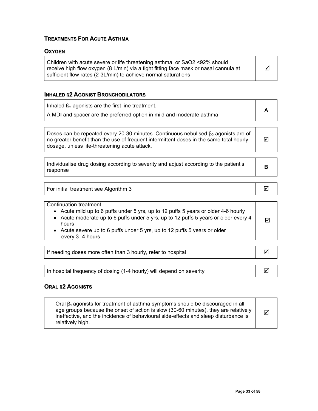# **TREATMENTS FOR ACUTE ASTHMA**

#### **OXYGEN**

| Children with acute severe or life threatening asthma, or SaO2 <92% should           |   |
|--------------------------------------------------------------------------------------|---|
| receive high flow oxygen (8 L/min) via a tight fitting face mask or nasal cannula at | ☑ |
| sufficient flow rates (2-3L/min) to achieve normal saturations                       |   |

# **INHALED ß2 AGONIST BRONCHODILATORS**

| Doses can be repeated every 20-30 minutes. Continuous nebulised $\beta_2$ agonists are of<br>no greater benefit than the use of frequent intermittent doses in the same total hourly<br>dosage, unless life-threatening acute attack.<br>Individualise drug dosing according to severity and adjust according to the patient's<br>в | Inhaled $\beta_2$ agonists are the first line treatment.<br>A MDI and spacer are the preferred option in mild and moderate asthma | A |
|-------------------------------------------------------------------------------------------------------------------------------------------------------------------------------------------------------------------------------------------------------------------------------------------------------------------------------------|-----------------------------------------------------------------------------------------------------------------------------------|---|
|                                                                                                                                                                                                                                                                                                                                     |                                                                                                                                   |   |
|                                                                                                                                                                                                                                                                                                                                     | response                                                                                                                          |   |

| For initial treatment see Algorithm 3 | ⊻ |
|---------------------------------------|---|
|                                       |   |

| If needing doses more often than 3 hourly, refer to hospital         |  |
|----------------------------------------------------------------------|--|
|                                                                      |  |
| In hospital frequency of dosing (1-4 hourly) will depend on severity |  |

#### **ORAL ß2 AGONISTS**

| Oral $\beta_2$ agonists for treatment of asthma symptoms should be discouraged in all<br>age groups because the onset of action is slow (30-60 minutes), they are relatively<br>冈<br>ineffective, and the incidence of behavioural side-effects and sleep disturbance is<br>relatively high. |  |
|----------------------------------------------------------------------------------------------------------------------------------------------------------------------------------------------------------------------------------------------------------------------------------------------|--|
|----------------------------------------------------------------------------------------------------------------------------------------------------------------------------------------------------------------------------------------------------------------------------------------------|--|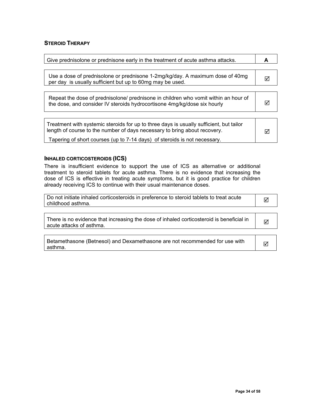#### **STEROID THERAPY**

| Give prednisolone or prednisone early in the treatment of acute asthma attacks.                                                                                      | А |
|----------------------------------------------------------------------------------------------------------------------------------------------------------------------|---|
|                                                                                                                                                                      |   |
| Use a dose of prednisolone or prednisone 1-2mg/kg/day. A maximum dose of 40mg<br>per day is usually sufficient but up to 60mg may be used.                           |   |
|                                                                                                                                                                      |   |
| Repeat the dose of prednisolone/ prednisone in children who vomit within an hour of<br>the dose, and consider IV steroids hydrocortisone 4mg/kg/dose six hourly      |   |
|                                                                                                                                                                      |   |
| Treatment with systemic steroids for up to three days is usually sufficient, but tailor<br>length of course to the number of days necessary to bring about recovery. | ⊽ |
| Tapering of short courses (up to 7-14 days) of steroids is not necessary.                                                                                            |   |

#### **INHALED CORTICOSTEROIDS (ICS)**

There is insufficient evidence to support the use of ICS as alternative or additional treatment to steroid tablets for acute asthma. There is no evidence that increasing the dose of ICS is effective in treating acute symptoms, but it is good practice for children already receiving ICS to continue with their usual maintenance doses.

| Do not initiate inhaled corticosteroids in preference to steroid tablets to treat acute<br>childhood asthma.         | ⊠ |
|----------------------------------------------------------------------------------------------------------------------|---|
|                                                                                                                      |   |
| There is no evidence that increasing the dose of inhaled corticosteroid is beneficial in<br>acute attacks of asthma. | ⊠ |
|                                                                                                                      |   |
| Betamethasone (Betnesol) and Dexamethasone are not recommended for use with<br>asthma.                               |   |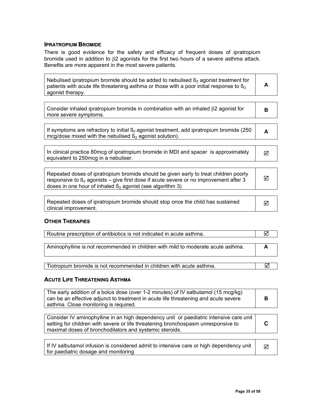#### **IPRATROPIUM BROMIDE**

There is good evidence for the safety and efficacy of frequent doses of ipratropium bromide used in addition to β2 agonists for the first two hours of a severe asthma attack. Benefits are more apparent in the most severe patients.

| Nebulised ipratropium bromide should be added to nebulised $\beta_2$ agonist treatment for<br>patients with acute life threatening asthma or those with a poor initial response to $\mathbb{B}_2$<br>agonist therapy.                                           | A |
|-----------------------------------------------------------------------------------------------------------------------------------------------------------------------------------------------------------------------------------------------------------------|---|
|                                                                                                                                                                                                                                                                 |   |
| Consider inhaled ipratropium bromide in combination with an inhaled $\beta$ 2 agonist for<br>more severe symptoms.                                                                                                                                              | в |
|                                                                                                                                                                                                                                                                 |   |
| If symptoms are refractory to initial $\beta_2$ agonist treatment, add ipratropium bromide (250<br>mcg/dose mixed with the nebulised $\beta_2$ agonist solution).                                                                                               | A |
|                                                                                                                                                                                                                                                                 |   |
| In clinical practice 80mcg of ipratropium bromide in MDI and spacer is approximately<br>equivalent to 250mcg in a nebuliser.                                                                                                                                    | ☑ |
|                                                                                                                                                                                                                                                                 |   |
| Repeated doses of ipratropium bromide should be given early to treat children poorly<br>responsive to $\mathfrak{g}_2$ agonists – give first dose if acute severe or no improvement after 3<br>doses in one hour of inhaled $\beta_2$ agonist (see algorithm 3) | ⋈ |
|                                                                                                                                                                                                                                                                 |   |
| Repeated doses of ipratropium bromide should stop once the child has sustained<br>clinical improvement.                                                                                                                                                         | M |

#### **OTHER THERAPIES**

| Routine prescription of antibiotics is not indicated in acute asthma.            |  |
|----------------------------------------------------------------------------------|--|
|                                                                                  |  |
| Aminophylline is not recommended in children with mild to moderate acute asthma. |  |
|                                                                                  |  |
|                                                                                  |  |
| Tiotropium bromide is not recommended in children with acute asthma.             |  |

#### **ACUTE LIFE THREATENING ASTHMA**

| The early addition of a bolus dose (over 1-2 minutes) of IV salbutamol (15 mcg/kg)<br>can be an effective adjunct to treatment in acute life threatening and acute severe<br>asthma. Close monitoring is required.                     | R |
|----------------------------------------------------------------------------------------------------------------------------------------------------------------------------------------------------------------------------------------|---|
|                                                                                                                                                                                                                                        |   |
| Consider IV aminophylline in an high dependency unit or paediatric intensive care unit<br>setting for children with severe or life threatening bronchospasm unresponsive to<br>maximal doses of bronchodilators and systemic steroids. |   |
|                                                                                                                                                                                                                                        |   |
| If IV salbutamol infusion is considered admit to intensive care or high dependency unit<br>for paediatric dosage and monitoring                                                                                                        | ⊽ |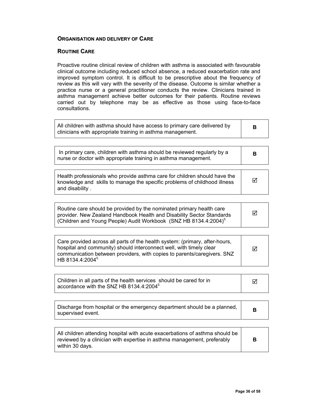#### **ORGANISATION AND DELIVERY OF CARE**

#### **ROUTINE CARE**

Proactive routine clinical review of children with asthma is associated with favourable clinical outcome including reduced school absence, a reduced exacerbation rate and improved symptom control. It is difficult to be prescriptive about the frequency of review as this will vary with the severity of the disease. Outcome is similar whether a practice nurse or a general practitioner conducts the review. Clinicians trained in asthma management achieve better outcomes for their patients. Routine reviews carried out by telephone may be as effective as those using face-to-face consultations.

| в |
|---|
|   |
| в |
|   |
|   |
|   |

| Routine care should be provided by the nominated primary health care<br>provider. New Zealand Handbook Health and Disability Sector Standards<br>Children and Young People) Audit Workbook (SNZ HB 8134.4:2004) <sup>5.</sup> | M |
|-------------------------------------------------------------------------------------------------------------------------------------------------------------------------------------------------------------------------------|---|
|-------------------------------------------------------------------------------------------------------------------------------------------------------------------------------------------------------------------------------|---|

| Children in all parts of the health services should be cared for in |  |
|---------------------------------------------------------------------|--|
| accordance with the SNZ HB 8134.4:2004 <sup>5.</sup>                |  |

| Discharge from hospital or the emergency department should be a planned,<br>supervised event. |
|-----------------------------------------------------------------------------------------------|
|-----------------------------------------------------------------------------------------------|

| All children attending hospital with acute exacerbations of asthma should be<br>reviewed by a clinician with expertise in asthma management, preferably<br>within 30 davs. |  |
|----------------------------------------------------------------------------------------------------------------------------------------------------------------------------|--|
|----------------------------------------------------------------------------------------------------------------------------------------------------------------------------|--|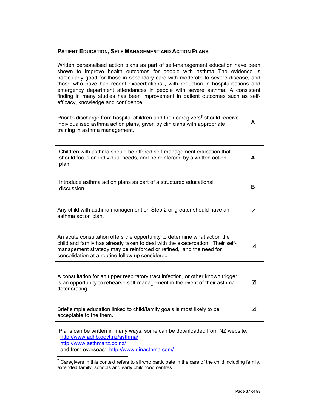#### **PATIENT EDUCATION, SELF MANAGEMENT AND ACTION PLANS**

Written personalised action plans as part of self-management education have been shown to improve health outcomes for people with asthma The evidence is particularly good for those in secondary care with moderate to severe disease, and those who have had recent exacerbations , with reduction in hospitalisations and emergency department attendances in people with severe asthma. A consistent finding in many studies has been improvement in patient outcomes such as selfefficacy, knowledge and confidence.

Prior to discharge from hospital children and their caregivers<sup>‡</sup> should receive individualised asthma action plans, given by clinicians with appropriate training in asthma management. **A** 

| Children with asthma should be offered self-management education that<br>should focus on individual needs, and be reinforced by a written action<br>plan. |
|-----------------------------------------------------------------------------------------------------------------------------------------------------------|
|-----------------------------------------------------------------------------------------------------------------------------------------------------------|

| Introduce asthma action plans as part of a structured educational<br>discussion. |  |
|----------------------------------------------------------------------------------|--|
|----------------------------------------------------------------------------------|--|

| Any child with asthma management on Step 2 or greater should have an | $\triangledown$ |
|----------------------------------------------------------------------|-----------------|
| asthma action plan.                                                  |                 |

| An acute consultation offers the opportunity to determine what action the<br>child and family has already taken to deal with the exacerbation. Their self-<br>management strategy may be reinforced or refined, and the need for<br>consolidation at a routine follow up considered. | ⊠ |
|--------------------------------------------------------------------------------------------------------------------------------------------------------------------------------------------------------------------------------------------------------------------------------------|---|
|--------------------------------------------------------------------------------------------------------------------------------------------------------------------------------------------------------------------------------------------------------------------------------------|---|

A consultation for an upper respiratory tract infection, or other known trigger, is an opportunity to rehearse self-management in the event of their asthma deteriorating.  $\triangledown$ 

| Brief simple education linked to child/family goals is most likely to be | ☑ |
|--------------------------------------------------------------------------|---|
| acceptable to the them.                                                  |   |

Plans can be written in many ways, some can be downloaded from NZ website: http://www.adhb.govt.nz/asthma/ http://www.asthmanz.co.nz/ and from overseas: http://www.ginasthma.com/  $\overline{a}$ 

<sup>‡</sup> Caregivers in this context refers to all who participate in the care of the child including family, extended family, schools and early childhood centres.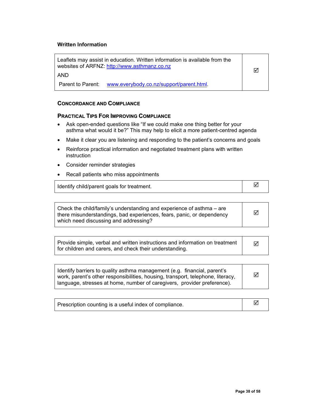#### **Written Information**

Leaflets may assist in education. Written information is available from the websites of ARFNZ: http://www.asthmanz.co.nz

AND

Parent to Parent: www.everybody.co.nz/support/parent.html.

#### **CONCORDANCE AND COMPLIANCE**

#### **PRACTICAL TIPS FOR IMPROVING COMPLIANCE**

- Ask open-ended questions like "If we could make one thing better for your asthma what would it be?" This may help to elicit a more patient-centred agenda
- Make it clear you are listening and responding to the patient's concerns and goals
- Reinforce practical information and negotiated treatment plans with written **instruction**
- Consider reminder strategies
- Recall patients who miss appointments

| Identify child/parent goals for treatment. |  |
|--------------------------------------------|--|
|--------------------------------------------|--|

| Check the child/family's understanding and experience of asthma – are<br>there misunderstandings, bad experiences, fears, panic, or dependency<br>which need discussing and addressing? | ⊠ |
|-----------------------------------------------------------------------------------------------------------------------------------------------------------------------------------------|---|
|                                                                                                                                                                                         |   |

| Provide simple, verbal and written instructions and information on treatment |  |
|------------------------------------------------------------------------------|--|
| for children and carers, and check their understanding.                      |  |

| Identify barriers to quality asthma management (e.g. financial, parent's<br>work, parent's other responsibilities, housing, transport, telephone, literacy, | ⊠ |
|-------------------------------------------------------------------------------------------------------------------------------------------------------------|---|
| language, stresses at home, number of caregivers, provider preference).                                                                                     |   |

| Prescription counting is a useful index of compliance. |  |
|--------------------------------------------------------|--|
|--------------------------------------------------------|--|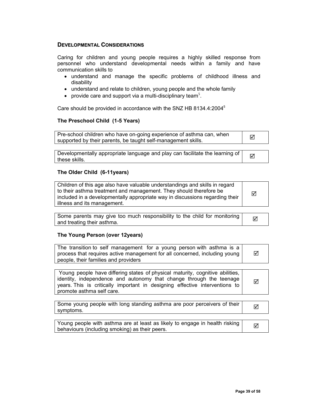#### **DEVELOPMENTAL CONSIDERATIONS**

Caring for children and young people requires a highly skilled response from personnel who understand developmental needs within a family and have communication skills to

- understand and manage the specific problems of childhood illness and disability
- understand and relate to children, young people and the whole family
- provide care and support via a multi-disciplinary team<sup>5</sup>.

Care should be provided in accordance with the SNZ HB 8134.4:20045

#### **The Preschool Child (1-5 Years)**

| Pre-school children who have on-going experience of asthma can, when | ⊠ |
|----------------------------------------------------------------------|---|
| supported by their parents, be taught self-management skills.        |   |

Developmentally appropriate language and play can facilitate the learning of  $\Box$ 

#### **The Older Child (6-11years)**

| Children of this age also have valuable understandings and skills in regard<br>to their asthma treatment and management. They should therefore be<br>  included in a developmentally appropriate way in discussions regarding their<br>lillness and its management. | ☑ |
|---------------------------------------------------------------------------------------------------------------------------------------------------------------------------------------------------------------------------------------------------------------------|---|
|---------------------------------------------------------------------------------------------------------------------------------------------------------------------------------------------------------------------------------------------------------------------|---|

Some parents may give too much responsibility to the child for monitoring **some field**<br>and treating their asthma.

#### **The Young Person (over 12years)**

| The transition to self management for a young person with asthma is a<br>process that requires active management for all concerned, including young<br>people, their families and providers                                                                      | ⋈  |
|------------------------------------------------------------------------------------------------------------------------------------------------------------------------------------------------------------------------------------------------------------------|----|
|                                                                                                                                                                                                                                                                  |    |
| Young people have differing states of physical maturity, cognitive abilities,<br>identity, independence and autonomy that change through the teenage<br>years. This is critically important in designing effective interventions to<br>promote asthma self care. | ⋈  |
|                                                                                                                                                                                                                                                                  |    |
| Some young people with long standing asthma are poor perceivers of their<br>symptoms.                                                                                                                                                                            | IМ |
|                                                                                                                                                                                                                                                                  |    |
| Young people with asthma are at least as likely to engage in health risking<br>behaviours (including smoking) as their peers.                                                                                                                                    | М  |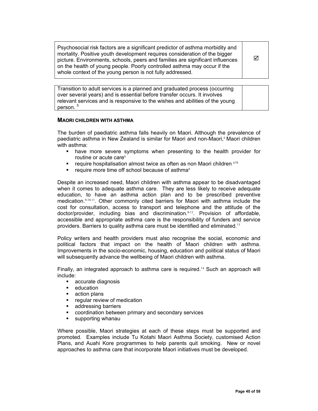Psychosocial risk factors are a significant predictor of asthma morbidity and mortality. Positive youth development requires consideration of the bigger picture. Environments, schools, peers and families are significant influences on the health of young people. Poorly controlled asthma may occur if the whole context of the young person is not fully addressed.

 $\overline{\mathbf{M}}$ 

Transition to adult services is a planned and graduated process (occurring over several years) and is essential before transfer occurs. It involves relevant services and is responsive to the wishes and abilities of the young person.<sup>5</sup>

#### **MAORI CHILDREN WITH ASTHMA**

The burden of paediatric asthma falls heavily on Maori. Although the prevalence of paediatric asthma in New Zealand is similar for Maori and non-Maori,<sup>6</sup> Maori children with asthma:

- have more severe symptoms when presenting to the health provider for routine or acute care<sup>6</sup>
- **•** require hospitalisation almost twice as often as non Maori children  $678$
- require more time off school because of asthma<sup>8</sup>

Despite an increased need, Maori children with asthma appear to be disadvantaged when it comes to adequate asthma care. They are less likely to receive adequate education, to have an asthma action plan and to be prescribed preventive medication.<sup>9,10,11</sup>. Other commonly cited barriers for Maori with asthma include the cost for consultation, access to transport and telephone and the attitude of the doctor/provider, including bias and discrimination.8,12. Provision of affordable, accessible and appropriate asthma care is the responsibility of funders and service providers. Barriers to quality asthma care must be identified and eliminated.<sup>13</sup>

Policy writers and health providers must also recognise the social, economic and political factors that impact on the health of Maori children with asthma. Improvements in the socio-economic, housing, education and political status of Maori will subsequently advance the wellbeing of Maori children with asthma.

Finally, an integrated approach to asthma care is required.<sup>14</sup> Such an approach will include:

- **accurate diagnosis**
- **•** education
- **action plans**
- **•** regular review of medication
- **addressing barriers**
- coordination between primary and secondary services
- **supporting whanau**

Where possible, Maori strategies at each of these steps must be supported and promoted. Examples include Tu Kotahi Maori Asthma Society, customised Action Plans, and Auahi Kore programmes to help parents quit smoking. New or novel approaches to asthma care that incorporate Maori initiatives must be developed.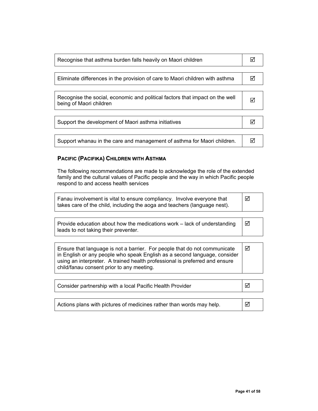| Recognise that asthma burden falls heavily on Maori children                                            |  |
|---------------------------------------------------------------------------------------------------------|--|
|                                                                                                         |  |
| Eliminate differences in the provision of care to Maori children with asthma                            |  |
|                                                                                                         |  |
| Recognise the social, economic and political factors that impact on the well<br>being of Maori children |  |
|                                                                                                         |  |
| Support the development of Maori asthma initiatives                                                     |  |

Support whanau in the care and management of asthma for Maori children.  $\Box$ 

#### **PACIFIC (PACIFIKA) CHILDREN WITH ASTHMA**

The following recommendations are made to acknowledge the role of the extended family and the cultural values of Pacific people and the way in which Pacific people respond to and access health services

| Fanau involvement is vital to ensure compliancy. Involve everyone that    | ∣ ⊠ |
|---------------------------------------------------------------------------|-----|
| takes care of the child, including the aoga and teachers (language nest). |     |

| Provide education about how the medications work – lack of understanding | $\blacksquare$ |
|--------------------------------------------------------------------------|----------------|
| leads to not taking their preventer.                                     |                |

Ensure that language is not a barrier. For people that do not communicate in English or any people who speak English as a second language, consider using an interpreter. A trained health professional is preferred and ensure child/fanau consent prior to any meeting. 5

| Consider partnership with a local Pacific Health Provider | $\blacktriangleright$ |
|-----------------------------------------------------------|-----------------------|
|                                                           |                       |

Actions plans with pictures of medicines rather than words may help.  $\Box$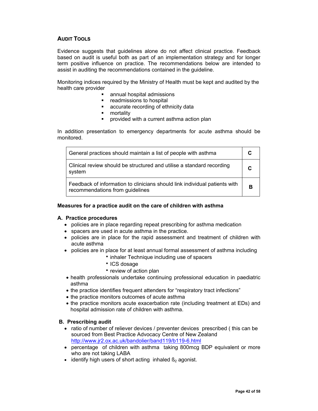#### **AUDIT TOOLS**

Evidence suggests that guidelines alone do not affect clinical practice. Feedback based on audit is useful both as part of an implementation strategy and for longer term positive influence on practice. The recommendations below are intended to assist in auditing the recommendations contained in the guideline.

Monitoring indices required by the Ministry of Health must be kept and audited by the health care provider

- annual hospital admissions
- **•** readmissions to hospital
- **accurate recording of ethnicity data**
- **n**ortality
- provided with a current asthma action plan

In addition presentation to emergency departments for acute asthma should be monitored.

| General practices should maintain a list of people with asthma                                                |   |
|---------------------------------------------------------------------------------------------------------------|---|
| Clinical review should be structured and utilise a standard recording<br>system                               |   |
| Feedback of information to clinicians should link individual patients with<br>recommendations from guidelines | в |

#### **Measures for a practice audit on the care of children with asthma**

#### **A. Practice procedures**

- policies are in place regarding repeat prescribing for asthma medication
- spacers are used in acute asthma in the practice.
- policies are in place for the rapid assessment and treatment of children with acute asthma
- policies are in place for at least annual formal assessment of asthma including
	- **inhaler Technique including use of spacers**
	- ICS dosage
	- review of action plan
- health professionals undertake continuing professional education in paediatric asthma
- the practice identifies frequent attenders for "respiratory tract infections"
- the practice monitors outcomes of acute asthma
- the practice monitors acute exacerbation rate (including treatment at EDs) and hospital admission rate of children with asthma.

#### **B. Prescribing audit**

- ratio of number of reliever devices / preventer devices prescribed ( this can be sourced from Best Practice Advocacy Centre of New Zealand http://www.jr2.ox.ac.uk/bandolier/band119/b119-6.html
- percentage of children with asthma taking 800mcg BDP equivalent or more who are not taking LABA
- identify high users of short acting inhaled  $\beta_2$  agonist.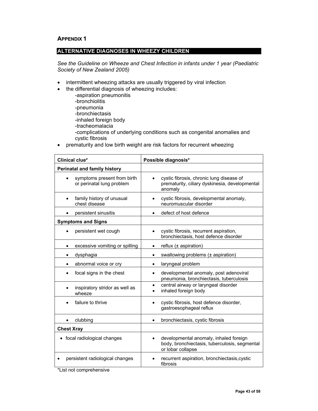#### **APPENDIX 1**

#### **ALTERNATIVE DIAGNOSES IN WHEEZY CHILDREN**

*See the Guideline on Wheeze and Chest Infection in infants under 1 year (Paediatric Society of New Zealand 2005)* 

- intermittent wheezing attacks are usually triggered by viral infection
- the differential diagnosis of wheezing includes:
	- -aspiration pneumonitis
	- -bronchiolitis
	- -pneumonia
	- -bronchiectasis
	- -inhaled foreign body
	- -tracheomalacia
	- -complications of underlying conditions such as congenital anomalies and cystic fibrosis
- prematurity and low birth weight are risk factors for recurrent wheezing

| Clinical clue*                                           | Possible diagnosis*                                                                                                       |
|----------------------------------------------------------|---------------------------------------------------------------------------------------------------------------------------|
| <b>Perinatal and family history</b>                      |                                                                                                                           |
| symptoms present from birth<br>or perinatal lung problem | cystic fibrosis, chronic lung disease of<br>prematurity, ciliary dyskinesia, developmental<br>anomaly                     |
| family history of unusual<br>chest disease               | cystic fibrosis, developmental anomaly,<br>neuromuscular disorder                                                         |
| persistent sinusitis                                     | defect of host defence<br>٠                                                                                               |
| <b>Symptoms and Signs</b>                                |                                                                                                                           |
| persistent wet cough                                     | cystic fibrosis, recurrent aspiration,<br>bronchiectasis, host defence disorder                                           |
| excessive vomiting or spilling                           | reflux $(±$ aspiration)                                                                                                   |
| dysphagia<br>٠                                           | swallowing problems (± aspiration)<br>$\bullet$                                                                           |
| abnormal voice or cry                                    | laryngeal problem<br>$\bullet$                                                                                            |
| focal signs in the chest                                 | developmental anomaly, post adenoviral<br>$\bullet$<br>pneumonia, bronchiectasis, tuberculosis                            |
| inspiratory stridor as well as<br>wheeze                 | central airway or laryngeal disorder<br>$\bullet$<br>inhaled foreign body<br>$\bullet$                                    |
| failure to thrive                                        | cystic fibrosis, host defence disorder,<br>gastroesophageal reflux                                                        |
| clubbing                                                 | bronchiectasis, cystic fibrosis<br>٠                                                                                      |
| <b>Chest Xray</b>                                        |                                                                                                                           |
| focal radiological changes                               | developmental anomaly, inhaled foreign<br>$\bullet$<br>body, bronchiectasis, tuberculosis, segmental<br>or lobar collapse |
| persistent radiological changes                          | recurrent aspiration, bronchiectasis, cystic<br>fibrosis                                                                  |

\*List not comprehensive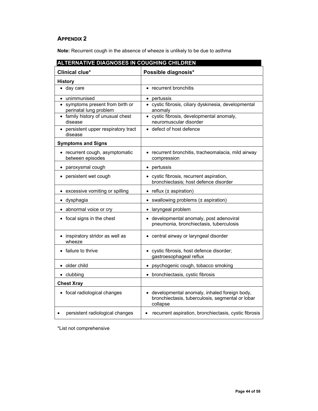### **APPENDIX 2**

**Note:** Recurrent cough in the absence of wheeze is unlikely to be due to asthma

| <b>ALTERNATIVE DIAGNOSES IN COUGHING CHILDREN</b>          |                                                                                                              |
|------------------------------------------------------------|--------------------------------------------------------------------------------------------------------------|
| Clinical clue*                                             | Possible diagnosis*                                                                                          |
| <b>History</b>                                             |                                                                                                              |
| day care<br>$\bullet$                                      | recurrent bronchitis                                                                                         |
| unimmunised<br>$\bullet$                                   | • pertussis                                                                                                  |
| • symptoms present from birth or<br>perinatal lung problem | • cystic fibrosis, ciliary dyskinesia, developmental<br>anomaly                                              |
| • family history of unusual chest<br>disease               | · cystic fibrosis, developmental anomaly,<br>neuromuscular disorder                                          |
| persistent upper respiratory tract<br>disease              | defect of host defence                                                                                       |
| <b>Symptoms and Signs</b>                                  |                                                                                                              |
| • recurrent cough, asymptomatic<br>between episodes        | • recurrent bronchitis, tracheomalacia, mild airway<br>compression                                           |
| paroxysmal cough<br>$\bullet$                              | • pertussis                                                                                                  |
| persistent wet cough<br>$\bullet$                          | • cystic fibrosis, recurrent aspiration,<br>bronchiectasis; host defence disorder                            |
| excessive vomiting or spilling                             | $\bullet$ reflux ( $\pm$ aspiration)                                                                         |
| · dysphagia                                                | swallowing problems (± aspiration)<br>$\bullet$                                                              |
| • abnormal voice or cry                                    | • laryngeal problem                                                                                          |
| • focal signs in the chest                                 | • developmental anomaly, post adenoviral<br>pneumonia, bronchiectasis, tuberculosis                          |
| inspiratory stridor as well as<br>wheeze                   | • central airway or laryngeal disorder                                                                       |
| failure to thrive                                          | cystic fibrosis, host defence disorder;<br>gastroesophageal reflux                                           |
| • older child                                              | • psychogenic cough, tobacco smoking                                                                         |
| • clubbing                                                 | • bronchiectasis, cystic fibrosis                                                                            |
| <b>Chest Xray</b>                                          |                                                                                                              |
| • focal radiological changes                               | developmental anomaly, inhaled foreign body,<br>bronchiectasis, tuberculosis, segmental or lobar<br>collapse |
| persistent radiological changes                            | recurrent aspiration, bronchiectasis, cystic fibrosis<br>$\bullet$                                           |

\*List not comprehensive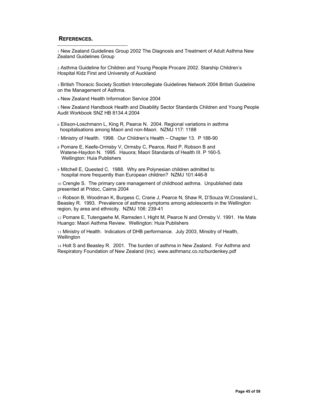#### **REFERENCES.**

 $\overline{a}$ 

1 New Zealand Guidelines Group 2002 The Diagnosis and Treatment of Adult Asthma New Zealand Guidelines Group

2 Asthma Guideline for Children and Young People Procare 2002. Starship Children's Hospital Kidz First and University of Auckland

3 British Thoracic Society Scottish Intercollegiate Guidelines Network 2004 British Guideline on the Management of Asthma.

4 New Zealand Health Information Service 2004

5 New Zealand Handbook Health and Disability Sector Standards Children and Young People Audit Workbook SNZ HB 8134.4:2004

- 6 Ellison-Loschmann L, King R, Pearce N. 2004. Regional variations in asthma hospitalisations among Maori and non-Maori. NZMJ 117: 1188
- 7 Ministry of Health. 1998. Our Children's Health Chapter 13. P 188-90
- 8 Pomare E, Keefe-Ormsby V, Ormsby C, Pearce, Reid P, Robson B and Watene-Haydon N. 1995. Hauora; Maori Standards of Health III. P 160-5. Wellington: Huia Publishers
- 9 Mitchell E, Quested C. 1988. Why are Polynesian children admitted to hospital more frequently than European children? NZMJ 101:446-8

10 Crengle S. The primary care management of childhood asthma. Unpublished data presented at Pridoc, Cairns 2004

11 Robson B, Woodman K, Burgess C, Crane J, Pearce N, Shaw R, D'Souza W,Crossland L, Beasley R. 1993. Prevalence of asthma symptoms among adolescents in the Wellington region, by area and ethnicity. NZMJ 106: 239-41

12 Pomare E, Tutengaehe M, Ramsden I, Hight M, Pearce N and Ormsby V. 1991. He Mate Huango: Maori Asthma Review. Wellington: Huia Publishers

13 Ministry of Health. Indicators of DHB performance. July 2003, Minsitry of Health, **Wellington** 

14 Holt S and Beasley R. 2001. The burden of asthma in New Zealand. For Asthma and Respiratory Foundation of New Zealand (Inc). www.asthmanz.co.nz/burdenkey.pdf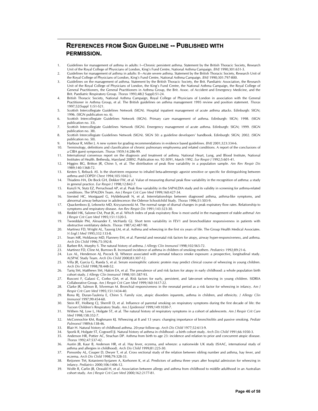### **REFERENCES FROM SIGN GUIDELINE -- PUBLISHED WITH PERMISSION.**

-

- 1. Guidelines for management of asthma in adults: I—Chronic persistent asthma. Statement by the British Thoracic Society, Research Unit of the Royal College of Physicians of London, King's Fund Centre, National Asthma Campaign. *BMJ* 1990;301:651-3.
- 2. Guidelines for management of asthma in adults: II—Acute severe asthma. Statement by the British Thoracic Society, Research Unit of the Royal College of Physicians of London, King's Fund Centre, National Asthma Campaign. *BMJ* 1990;301:797-800.
- 3. Guidelines on the management of asthma. Statement by the British Thoracic Society, the Brit. Paediatric Association, the Research Unit of the Royal College of Physicians of London, the King's Fund Centre, the National Asthma Campaign, the Royal College of General Practitioners, the General Practitioners in Asthma Group, the Brit. Assoc. of Accident and Emergency Medicine, and the Brit. Paediatric Respiratory Group. *Thorax* 1993;48(2 Suppl):S1-24.
- 4. British Thoracic Society, National Asthma Campaign, Royal College of Physicians of London in association with the General Practitioner in Asthma Group, et al. The British guidelines on asthma management 1995 review and position statement. *Thorax* 1997;52(Suppl 1):S1-S21.
- 5. Scottish Intercollegiate Guidelines Network (SIGN). Hospital inpatient management of acute asthma attacks. Edinburgh: SIGN; 1996. (SIGN publication no. 6).
- 6. Scottish Intercollegiate Guidelines Network (SIGN). Primary care management of asthma. Edinburgh: SIGN; 1998. (SIGN publication no. 33).
- 7. Scottish Intercollegiate Guidelines Network (SIGN). Emergency management of acute asthma. Edinburgh: SIGN; 1999. (SIGN publication no. 38)
- 8. Scottish Intercollegiate Guidelines Network (SIGN). SIGN 50: a guideline developers' handbook. Edinburgh: SIGN; 2002. (SIGN publication no. 50).
- 9. Harbour R, Miller J. A new system for grading recommendations in evidence based guidelines. *BMJ* 2001;323:334-6.
- 10. Terminology, definitions and classification of chronic pulmonary emphysema and related conditions. A report of the conclusions of a CIBA guest symposium. *Thorax* 1959;14:286-99.
- 11. International consensus report on the diagnosis and treatment of asthma. National Heart, Lung, and Blood Institute, National Institutes of Health. Bethesda, Maryland 20892. Publication no. 92-3091, March 1992. *Eur Respir J* 1992;5:601-41.
- 12. Higgins BG, Britton JR, Chinn S, et al. The distribution of peak flow variability in a population sample. *Am Rev Respir Dis* 1989;140:1368-72.
- 13. Kesten S, Rebuck AS. Is the short-term response to inhaled beta-adrenergic agonist sensitive or specific for distinguishing between asthma and COPD? *Chest* 1994;105:1042-5.
- 14. Thiadens HA, De Bock GH, Dekker FW, et al. Value of measuring diurnal peak flow variability in the recognition of asthma: a study in general practice. *Eur Respir J* 1998;12:842-7.
- 15. Kunzli N, Stutz EZ, Perruchoud AP, et al. Peak flow variability in the SAPALDIA study and its validity in screening for asthma-related conditions. The SPALDIA Team. *Am J Respir Crit Care Med* 1999;160:427-34.
- 16. Siersted HC, Mostgaard G, Hyldebrandt N, et al. Interrelationships between diagnosed asthma, asthma-like symptoms, and abnormal airway behaviour in adolescence: the Odense Schoolchild Study. *Thorax* 1996;51:503-9.
- 17. Quackenboss JJ, Lebowitz MD, Krzyzanowski M. The normal range of diurnal changes in peak expiratory flow rates. Relationship to symptoms and respiratory disease. *Am Rev Respir Dis* 1991;143:323-30. 18. Reddel HK, Salome CM, Peat JK, et al. Which index of peak expiratory flow is most useful in the management of stable asthma? *Am*
- *J Respir Crit Care Med* 1995;151:1320-5. 19. Tweeddale PM, Alexander F, McHardy GJ. Short term variability in FEV1 and bronchodilator responsiveness in patients with
- obstructive ventilatory defects. *Thorax* 1987;42:487-90. 20. Martinez FD, Wright AL, Taussig LM, et al. Asthma and wheezing in the first six years of life. The Group Health Medical Associates.
- *N Engl J Med* 1995;332:133-8. 21. Sears MR, Holdaway MD, Flannery EM, et al. Parental and neonatal risk factors for atopy, airway hyper-responsiveness, and asthma. *Arch Dis Child* 1996;75:392-8.
- 22. Barbee RA, Murphy S. The natural history of asthma. *J Allergy Clin Immunol* 1998;102:S65-72.
- 23. Martinez FD, Cline M, Burrows B. Increased incidence of asthma in children of smoking mothers. *Pediatrics* 1992;89:21-6.
- 24. Lux AL, Henderson AJ, Pocock SJ. Wheeze associated with prenatal tobacco smoke exposure: a prospective, longitudinal study. ALSPAC Study Team. *Arch Dis Child* 2000;83:307-12.
- 25. Villa JR, Garcia G, Rueda S, et al. Serum eosinophilic cationic protein may predict clinical course of wheezing in young children. *Arch Dis Child* 1998;78:448-52.
- 26. Tariq SM, Matthews SM, Hakim EA, et al. The prevalence of and risk factors for atopy in early childhood: a whole population birth cohort study. *J Allergy Clin Immunol* 1998;101:587-93.
- 27. Rusconi F, Galassi C, Corbo GM, et al. Risk factors for early, persistent, and late-onset wheezing in young children. SIDRIA Collaborative Group. *Am J Respir Crit Care Med* 1999;160:1617-22.
- 28. Clarke JR, Salmon B, Silverman M. Bronchial responsiveness in the neonatal period as a risk factor for wheezing in infancy. *Am J Respir Crit Care Med* 1995;151:1434-40.
- 29. Rona RJ, Duran-Tauleria E, Chinn S. Family size, atopic disorders inparents, asthma in children, and ethnicity. *J Allergy Clin Immunol* 1997;99:454-60.
- 30. Stein RT, Holberg CJ, Sherrill D, et al. Influence of parental smoking on respiratory symptoms during the first decade of life: the Tucson Children's Respiratory Study. *Am J Epidemiol* 1999;149:1030-7.
- 31. Withers NJ, Low L, Holgate ST, et al. The natural history of respiratory symptoms in a cohort of adolescents. *Am J Respir Crit Care Med* 1998;158:352-7.
- 32. McConnochie KM, Roghmann KJ. Wheezing at 8 and 13 years: changing importance of bronchiolitis and passive smoking. *Pediatr Pulmonol* 1989;6:138-46.
- 33. Blair H. Natural history of childhood asthma. 20-year follow-up. *Arch Dis Child* 1977;52:613-9.
- 34. Sporik R, Holgate ST, Cogswell JJ. Natural history of asthma in childhood a birth cohort study. *Arch Dis Child* 1991;66:1050-3.
- 35. Anderson HR, Pottier AC, Strachan DP. Asthma from birth to age 23: incidence and relation to prior and concurrent atopic disease. *Thorax* 1992;47:537-42.
- 36. Austin JB, Kaur B, Anderson HR, et al. Hay fever, eczema, and wheeze: a nationwide UK study (ISAAC, international study of asthma and allergies in childhood). *Arch Dis Child* 1999;81:225-30.
- 37. Ponsonby AL, Couper D, Dwyer T, et al. Cross sectional study of the relation between sibling number and asthma, hay fever, and eczema. *Arch Dis Child* 1998;79:328-33.
- 38. Reijonen TM, Kotaniemi-Syrjanen A, Korhonen K, et al. Predictors of asthma three years after hospital admission for wheezing in infancy. *Pediatrics* 2000;106:1406-12.
- 39. Wolfe R, Carlin JB, Oswald H, et al. Association between allergy and asthma from childhood to middle adulthood in an Australian cohort study. *Am J Respir Crit Care Med* 2000;162:2177-81.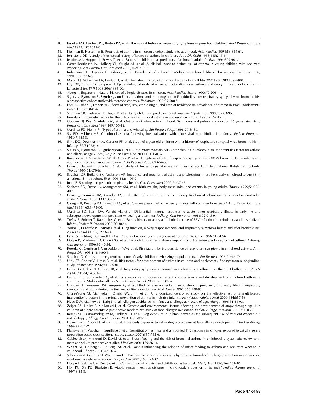- 40. Brooke AM, Lambert PC, Burton PR, et al. The natural history of respiratory symptoms in preschool children. *Am J Respir Crit Care Med* 1995;152:1872-8.
- 41. Kjellman B, Hesselmar B. Prognosis of asthma in children: a cohort study into adulthood. *Acta Paediatr* 1994;83:854-61.
- 42. Johnstone DE. A study of the natural history of bronchial asthma in children. *Am J Dis Child* 1968;115:213-6.
- 43. Jenkins MA, Hopper JL, Bowes G, et al. Factors in childhood as predictors of asthma in adult life. *BMJ* 1994;309:90-3.
- 44. Castro-Rodriguez JA, Holberg CJ, Wright AL, et al. A clinical index to define risk of asthma in young children with recurrent wheezing. *Am J Respir Crit Care Med* 2000;162:1403-6.
- 45. Robertson CF, Heycock E, Bishop J, et al. Prevalence of asthma in Melbourne schoolchildren: changes over 26 years. *BMJ* 1991;302:1116-8.
- 46. Martin AJ, McLennan LA, Landau LI, et al. The natural history of childhood asthma to adult life. *BMJ* 1980;280:1397-400.
- 47. Luyt DK, Burton PR, Simpson H. Epidemiological study of wheeze, doctor diagnosed asthma, and cough in preschool children in Leicestershire. *BMJ* 1993;306:1386-90.
- 48. Aberg N, Engstrom I. Natural history of allergic diseases in children. *Acta Paediatr Scand* 1990;79:206-11.
- 49. Sigurs N, Bjarnason R, Sigurbergsson F, et al. Asthma and immunoglobulin E antidodies after respiratory syncytial virus bronchiolitis: a prospective cohort study with matched controls. *Pediatrics* 1995;95:500-5.
- 50. Laor A, Cohen L, Danon YL. Effects of time, sex, ethnic origin, and area of residence on prevalence of asthma in Israeli adolescents. *BMJ* 1993;307:841-4.
- 51. Sherman CB, Tosteson TD, Tager IB, et al. Early childhood predictors of asthma. *Am J Epidemiol* 1990;132:83-95.
- 52. Roorda RJ. Prognostic factors for the outcome of childhood asthma in adolescence. *Thorax* 1996;51:S7-12. 53. Godden DJ, Ross S, Abdalla M, et al. Outcome of wheeze in childhood. Symptoms and pulmonary function 25 years later. *Am J Respir Crit Care Med* 1994;149:106-12.
- 54. Martinez FD, Helms PJ. Types of asthma and wheezing. *Eur Respir J Suppl* 1998;27:3s-8s.

-

- 55. Sly PD, Hibbert ME. Childhood asthma following hospitalization with acute viral bronchiolitis in infancy. *Pediatr Pulmonol* 1989;7:153-8.
- 56. Sims DG, Downham MA, Gardner PS, et al. Study of 8-year-old children with a history of respiratory syncytial virus bronchiolitis in infancy. *BMJ* 1978;1:11-4.
- 57. Sigurs N, Bjarnason R, Sigurbergsson F, et al. Respiratory syncytial virus bronchiolitis in infancy is an important risk factor for asthma and allergy at age 7. *Am J Respir Crit Care Med* 2000;161:1501-7.
- 58. Kneyber MCJ, Steyerberg EW, de Groot R, et al. Long-term effects of respiratory syncytial virus (RSV) bronchiolitis in infants and young children: a quantitative review. *Acta Paediatr* 2000;89:654-60.
- 59. Lewis S, Butland B, Strachan D, et al. Study of the aetiology of wheezing illness at age 16 in two national British birth cohorts. *Thorax* 1996;51:670-6.
- 60. Strachan DP, Butland BK, Anderson HR. Incidence and prognosis of asthma and wheezing illness from early childhood to age 33 in a national British cohort. *BMJ* 1996;312:1195-9.
- 61. Joad JP. Smoking and pediatric respiratory health. *Clin Chest Med* 2000;21:37-46.
- 62. Shaheen SO, Sterne JA, Montgomery SM, et al. Birth weight, body mass index and asthma in young adults. *Thorax* 1999;54:396- 402.
- 63. Gross SJ, Iannuzzi DM, Kveselis DA, et al. Effect of preterm birth on pulmonary function at school age: a prospective controlled study. *J Pediatr* 1998;133:188-92.
- 64. Clough JB, Keeping KA, Edwards LC, et al. Can we predict which wheezy infants will continue to wheeze? *Am J Respir Crit Care Med* 1999;160:1473-80.
- 65. Martinez FD, Stern DA, Wright AL, et al. Differential immune responses to acute lower respiratory illness in early life and subsequent development of persistent wheezing and asthma. *J Allergy Clin Immunol* 1998;102:915-9.
- 66. Trefny P, Stricker T, Baerlocher C, et al. Family history of atopy and clinical course of RSV infection in ambulatory and hospitalized infants. *Pediatr Pulmonol* 2000;30:302-6.
- 67. Young S, O'Keeffe PT, Arnott J, et al. Lung function, airway responsiveness, and respiratory symptoms before and after bronchiolitis. *Arch Dis Child* 1995;72:16-24.
- 68. Park ES, Golding J, Carswell F, et al. Preschool wheezing and prognosis at 10. *Arch Dis Child* 1986;61:642-6.
- 69. Dodge R, Martinez FD, Cline MG, et al. Early childhood respiratory symptoms and the subsequent diagnosis of asthma. *J Allergy Clin Immunol* 1996;98:48-54.
- 70. Roorda RJ, Gerritsen J, Van Aalderen WM, et al. Risk factors for the persistence of respiratory symptoms in childhood asthma. *Am J Respir Dis* 1993;148:1490-5.
- 71. Strachan D, Gerritsen J. Long-term outcome of early childhood wheezing: population data. *Eur Respir J* 1996;21:42s-7s.
- 72. Ulrik CS, Backer V, Hesse B, et al. Risk factors for development of asthma in children and adolescents: findings from a longitudinal study. *Respir Med* 1996;90:623-30.
- 73. Giles GG, Lickiss N, Gibson HB, et al. Respiratory symptoms in Tasmanian adolescents: a follow up of the 1961 birth cohort. *Aus N Z J Med* 1984;14:631-7.
- 74. Lau S, Illi S, Sommerfeld C, et al. Early exposure to house-dust mite and cat allergens and development of childhood asthma: a cohort study. Multicentre Allergy Study Group. *Lancet* 2000;356:1392-7.
- 75. Custovic A, Simpson BM, Simpson A, et al. Effect of environmental manipulation in pregnancy and early life on respiratory symptoms and atopy during the first year of life: a randomised trial. *Lancet* 2001;358:188-93.
- 76. Chan-Yeung M, Manfreda J, Dimich-Ward H, et al. A randomized controlled study on the effectiveness of a multifaceted intervention program in the primary prevention of asthma in high-risk infants. *Arch Pediatr Adolesc Med* 2000;154:657-63.
- 77. Hyde DW, Matthews S, Tariq S, et al. Allergen avoidance in infancy and allergy at 4 years of age. *Allergy* 1996;51:89-93.
- 78. Zeiger RS, Heller S, Mellon MH, et al. Genetic and environmental factors affecting the development of atopy through age 4 in children of atopic parents: A prospective randomized study of food allergen avoidance. *Pediatr Allergy Immunol* 1992;3:110-27.
- 79. Remes ST, Castro-Rodriguez JA, Holberg CJ, et al. Dog exposure in infancy decreases the subsequent risk of frequent wheeze but not of atopy. *J Allergy Clin Immunol* 2001;108:509-15.
- 80. Hesselmar B, Aberg N, Aberg B, et al. Does early exposure to cat or dog protect against later allergy development? *Clin Exp Allergy* 1999;29:611-7.
- 81. Platts-Mills T, Vaughan J, Squillace S, et al. Sensitisation, asthma, and a modified Th2 response in children exposed to cat allergen: a population-based cross-sectional study. *Lancet* 2001;357:752-6.
- 82. Gdalevich M, Mimouni D, David M, et al. Breast-feeding and the risk of bronchial asthma in childhood: a systematic review with meta-analysis of prospective studies. *J Pediatr* 2001;139:261-6.
- 83. Wright AL, Holberg CJ, Taussig LM, et al. Factors influencing the relation of infant feeding to asthma and recurrent wheeze in childhood. *Thorax* 2001;56:192-7.
- 84. Schoetzau A, Gehring U, Wichmann HE. Prospective cohort studies using hydrolysed formulas for allergy prevention in atopy-prone newborns: a systematic review. *Eur J Pediatr* 2001;160:323-32.
- 85. Hodge L, Salome CM, Peat JK, et al. Consumption of oily fish and childhood asthma risk. *Med J Aust* 1996;164:137-40.
- 86. Holt PG, Sly PD, Bjorksten B. Atopic versus infectious diseases in childhood: a question of balance? *Pediatr Allergy Immunol* 1997;8:53-8.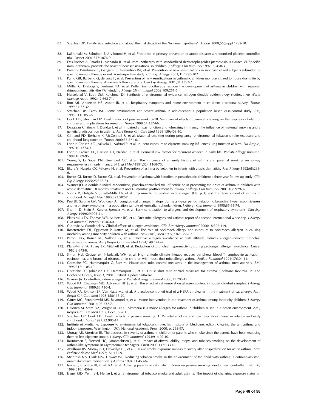87. Strachan DP. Family size, infection and atopy: the first decade of the "hygiene hypothesis". *Thorax* 2000;55(Suppl 1):S2-10.

- 88. Kalliomaki M, Salminen S, Arvilommi H, et al. Probiotics in primary prevention of atopic disease: a randomised placebo-controlled trial. *Lancet* 2001;357:1076-9.
- 89. Des Roches A, Paradis L, Menardo JL, et al. Immunotherapy with standardized dermatophagoides pteronyssinus extract. VI. Specific immunotherapy prevents the onset of new sensitizations in children. *J Allergy Clin Immunol* 1997;99:450-3.
- 90. Purello-D'Ambrosio F, Gangemi S, Merendino RA, et al. Prevention of new sensitizations in monosensitized subjects submitted to specific immunotherapy or not. A retrospective study. *Clin Exp Allergy* 2001;31:1295-302.
- 91. Pajno GB, Barberio G, de Luca F, et al. Prevention of new sensitizations in asthmatic children monosensitized to house dust mite by specific immunotherapy. A six-year follow-up study. *Clin Exp Allergy* 2001;31:1392-7.
- 92. Möller C, Dreborg S, Ferdousi HA, et al. Pollen immunotherapy reduces the development of asthma in children with seasonal rhinoconjunctivitis (the PAT-study). *J Allergy Clin Immunol* 2002;109:251-6.
- 93. Hasselblad V, Eddy DM, Kotchmar DJ. Synthesis of environmental evidence: nitrogen dioxide epidemiology studies. *J Air Waste Manage Assoc* 1992;42:662-71.
- 94. Burr ML, Anderson HR, Austin JB, et al. Respiratory symptoms and home environment in children: a national survey. *Thorax* 1999;54:27-32.
- 95. Strachan DP, Carey IM. Home environment and severe asthma in adolescence: a population based case-control study. *BMJ* 1995;311:1053-6.
- 96. Cook DG, Strachan DP. Health effects of passive smoking-10: Summary of effects of parental smoking on the respiratory helath of children and implications for research. *Thorax* 1999;54:357-66.
- 97. Dezateau C, Stocks J, Dundas I, et al. Impaired airway function and wheezing in infancy: the influence of maternal smoking and a genetic predisposition to asthma. *Am J Respir Crit Care Med* 1999;159:403-10.
- 98. Gilliland FD, Berhane K, McConnell R, et al. Maternal smoking during pregnancy, environmental tobacco smoke exposure and childhood lung function. *Thorax* 2000;55:271-6.
- 99. Lodrup Carlsen KC, Jaakkola JJ, Nafstad P, et al. In utero exposure to cigarette smoking influences lung function at birth. *Eur Respir J* 1997;10:1774-9. 100. Lodrup Carlsen KC, Carlsen KH, Nafstad P, et al. Perinatal risk factors for recurrent wheeze in early life. *Pediatr Allergy Immunol*
- 1999;10:89-95. 101. Young S, Le Souef PN, Geelhoed GC, et al. The influence of a family history of asthma and parental smoking on airway
- responsiveness in early infancy. *N Engl J Med* 1991;324:1168-73. 102. Iikura Y, Naspitz CK, Mikawa H, et al. Prevention of asthma by ketotifen in infants with atopic dermatitis. *Ann Allergy* 1992;68:233-
- 6. 103. Bustos GJ, Bustos D, Bustos GJ, et al. Prevention of asthma with ketotifen in preasthmatic children: a three-year follow-up study. *Clin*
- *Exp Allergy* 1995;25:568-73.
- 104. Warner JO. A double-blinded, randomized, placebo-controlled trial of cetirizine in preventing the onset of asthma in children with atopic dermatitis: 18 months' treatment and 18 months' posttreatment follow-up. *J Allergy Clin Immunol* 2001;108:929-37.
- 105. Sporik R, Holgate ST, Platts-Mills TA, et al. Exposure to house-dust mite allergen (Der p 1) and the development of asthma in childhood. *N Engl J Med* 1990;323:502-7.
- 106. Peat JK, Salome CM, Woolcock AJ. Longitudinal changes in atopy during a 4-year period: relation to bronchial hyperresponsiveness and respiratory symptoms in a population sample of Australian schoolchildren. *J Allergy Clin Immunol* 1990;85:65-74.
- 107. Sherrill D, Stein R, Kurzius-Spencer M, et al. Early sensitization to allergens and development of respiratory symptoms. *Clin Exp Allergy* 1999;29:905-11.
- 108. Platts-Mills TA, Thomas WR, Aalberse RC, et al. Dust mite allergens and asthma: report of a second international workshop. *J Allergy Clin Immunol* 1992;89:1046-60.
- 109. Custovic A, Woodcock A. Clinical effects of allergen avoidance. *Clin Rev Allergy Immunol* 2000;18:397-419.
- 110. Rosenstreich DL, Eggleston P, Kattan M, et al. The role of cockroach allergy and exposure to cockroach allergen in causing morbidity among inner-city children with asthma. *New Engl J Med* 1997;336:1356-63.
- 111. Peroni DG, Boner AL, Vallone G, et al. Effective allergen avoidance at high altitude reduces allergen-induced bronchial hyperresponsiveness. *Am J Respir Crit Care Med* 1994;149:1442-6. 112. Platts-Mills TA, Tovey ER, Mitchell EB, et al. Reduction of bronchial hyperreactivity during prolonged allergen avoidance. *Lancet*
- 1982;2:675-8. 113. Simon HU, Grotzer M, Nikolaizik WH, et al. High altitude climate therapy reduces peripheral blood T lymphocyte activation,
- eosinophilia, and bronchial obstruction in children with house dust-mite allergic asthma. *Pediatr Pulmonol* 1994;17:304-11.
- 114. Gotzsche PC, Hammarquist C, Burr M. House dust mite control measures in the management of asthma: meta-analysis. *BMJ* 1998;317:1105-10.
- 115. Gotzsche PC, Johansen HK, Hammarquist C, et al. House dust mite control measures for asthma (Cochrane Review). In: The Cochrane Library, Issue 3, 2001. Oxford: Update Software.
- 116. Warner JA. Controlling indoor allergens. *Pediatr Allergy Immunol* 2000;11:208-19.
- 117. Wood RA, Chapman MD, Adkinson NF Jr, et al. The effect of cat removal on allergen content in household-dust samples. *J Allergy Clin Immunol* 1989;83:730-4.
- 118. Wood RA, Johnson EF, Van Natta ML, et al. A placebo-controlled trial of a HEPA air cleaner in the treatment of cat allergy. *Am J Respir Crit Care Med* 1998;158:115-20.
- 119. Carter MC, Perzanowski MS, Raymond A, et al. Home intervention in the treatment of asthma among inner-city children. *J Allergy Clin Immunol* 2001;108:732-7.
- 120. Halonen M, Stern DA, Wright AL, et al. Alternaria is a major allergen for asthma in children raised in a desert environment. *Am J Respir Crit Care Med* 1997;155:1356-61.
- 121. Strachan DP, Cook DG. Health effects of passive smoking. 1. Parental smoking and low respiratory illness in infancy and early childhood. *Thorax* 1997;52:905-14.
- 122. Institute of Medicine. Exposure to environmental tobacco smoke. In: Institute of Medicine, editor. Clearing the air: asthma and indoor exposures. Washington (DC): National Academic Press; 2000. p. 263-97.
- 123. Murray AB, Morrison BJ. The decrease in severity of asthma in children of parents who smoke since the parents have been exposing them to less cigarette smoke. *J Allergy Clin Immunol* 1993;91:102-10.
- 124. Rasmussen F, Siersted HC, Lambrechtsen J, et al. Impact of airway lability, atopy, and tobacco smoking on the development of asthma-like symptoms in asymptomatic teenagers. *Chest* 2000;117:1330-5.
- 125. Abulhosn RS, Morray BH, Llewellyn CE, et al. Passive smoke exposure impairs recovery after hospitalization for acute asthma. *Arch Pediatr Adolesc Med* 1997;151:135-9.
- 126. McIntosh NA, Clark NM, Howatt WF. Reducing tobacco smoke in the environment of the child with asthma: a cotinine-assisted, minimal-contact intervention. *J Asthma* 1994;31:453-62.
- 127. Irvine L, Crombie IK, Clark RA, et al. Advising parents of asthmatic children on passive smoking: randomised controlled trial. *BMJ* 1999;318:1456-9.
- 128. Eisner MD, Yelin EH, Henke J, et al. Environmental tobacco smoke and adult asthma. The impact of changing exposure status on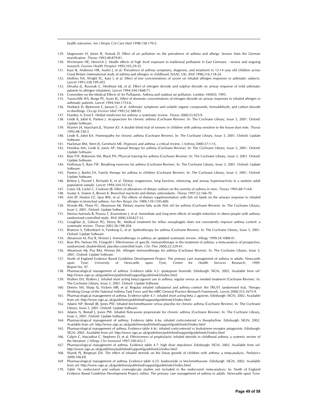health outcomes. *Am J Respir Crit Care Med* 1998;158:170-5.

- 129. Magnussen H, Jörres R, Nowak D. Effect of air pollution on the prevalence of asthma and allergy: lessons from the German reunification. *Thorax* 1993;48:879-81.
- 130. Wichmann HE, Heinrich J. Health effects of high level exposure to traditional pollutants in East Germany review and ongoing research. *Environ Health Perspect* 1995;103:29-35.
- 131. Kaur B, Anderson HR, Austin J, et al. Prevalence of asthma symptoms, diagnosis, and treatment in 12-14 year old children across Great Britain (international study of asthma and allergies in childhood, ISAAC UK). *BMJ* 1998;316:118-24.
- 132. Molfino NA, Wright SC, Katz I, et al. Effect of low concentrations of ozone on inhaled allergen responses in asthmatic subjects. *Lancet* 1991;338:199-203.
- 133. Devalia JL, Rusznak C, Herdman MJ, et al. Effect of nitrogen dioxide and sulphur dioxide on airway response of mild asthmatic patients to allergen inhalation. *Lancet* 1994;344:1668-71.
- 134. Committee on the Medical Effects of Air Pollutants. Asthma and outdoor air pollution. London: HMSO; 1995.
- 135. Tunnicliffe WS, Burge PS, Ayres JG. Effect of domestic concentrations of nitrogen dioxide on airway responses to inhaled allergen in asthmatic patients. *Lancet* 1994;344:1733-6.
- 136. Norbäck D, Björnsson E, Janson C, et al. Asthmatic symptoms and volatile organic compounds, formaldehyde, and carbon dioxide in dwellings. *Occup Environ Med* 1995;52:388-95.
- 137. Huntley A, Ernst E. Herbal medicines for asthma: a systematic review. *Thorax* 2000;55:925-9.
- 138. Linde K, Jobst K, Panton J. Acupuncture for chronic asthma (Cochrane Review). In: The Cochrane Library, Issue 3, 2001. Oxford: Update Software.
- 139. Warner JA, Marchant JL, Warner JO. A double blind trial of ionisers in children with asthma sensitive to the house dust mite. *Thorax* 1993;48:330-3.
- 140. Linde K, Jobst KA. Homeopathy for chronic asthma (Cochrane Review). In: The Cochrane Library, Issue 3, 2001. Oxford: Update Software.
- 141. Hackman RM, Stern JS, Gershwin ME. Hypnosis and asthma: a critical review. *J Asthma* 2000;37:1-15. 142. Hondras MA, Linde K, Jones AP. Manual therapy for asthma (Cochrane Review). In: The Cochrane Library, Issue 3, 2001. Oxford: Update Software.
- 143. Ram FSF, Robinson SM, Black PN. Physical training for asthma (Cochrane Review). In: The Cochrane Library, Issue 3, 2001. Oxford: Update Software.
- 144. Holloway E, Ram FSF. Breathing exercises for asthma (Cochrane Review). In: The Cochrane Library, Issue 3, 2001. Oxford: Update Software.
- 145. Panton J, Barley EA. Family therapy for asthma in children (Cochrane Review). In: The Cochrane Library, Issue 3, 2001. Oxford: Update Software.
- 146. Britton J, Pavord I, Richards K, et al. Dietary magnesium, lung function, wheezing, and airway hyperreactivity in a random adult population sample. *Lancet* 1994;344:357-62.
- 147. Carey OJ, Locke C, Cookson JB. Effect of alterations of dietary sodium on the severity of asthma in men. *Thorax* 1993;48:714-8.
- 148. Soutar A, Seaton A, Brown K. Bronchial reactivity and dietary antioxidants. *Thorax* 1997;52:166-70.
- 149. Arm JP, Horton CE, Spur BW, et al. The effects of dietary supplementation with fish oil lipids on the airways response to inhaled allergen in bronchial asthma. *Am Rev Respir Dis* 1989;139:1395-400.
- 150. Woods RK, Thien FC, Abramson MJ. Dietary marine fatty acids (fish oil) for asthma (Cochrane Review). In: The Cochrane Library, Issue 3, 2001. Oxford: Update Software.
- 151. Stenius-Aarniala B, Poussa T, Kvarnstrom J, et al. Immediate and long term effects of weight reduction in obese people with asthma: randomised controlled study. *BMJ* 2000;320:827-32.
- 152. Coughlan JL, Gibson PG, Henry RL. Medical treatment for reflux oesophagitis does not consistently improve asthma control: a systematic review. *Thorax* 2001;56:198-204.
- 153. Beamon S, Falkenbach A, Fainburg G, et al. Speleotherapy for asthma (Cochrane Review). In: The Cochrane Library, Issue 3, 2001. Oxford: Update Software.
- 154. Abramson M, Puy R, Weiner J. Immunotherapy in asthma: an updated systematic review. *Allergy* 1999;54:1088-41. 155. Ross RN, Nelson HS, Finegold I. Effectiveness of specific immunotherapy in the treatment of asthma: a meta-analysis of prospective,
- randomized, double-blind, placebo-controlled trials. *Clin Ther* 2000;22:329-41.
- 156. Abramson MJ, Puy RM, Weiner JM. Allergen immunotherapy for asthma (Cochrane Review). In: The Cochrane Library, Issue 3, 2001. Oxford: Update Software.
- 157. North of England Evidence Based Guideline Development Project. The primary care management of asthma in adults. Newcastle upon Tyne: University of Newcastle upon Tyne, Centre for Health Services Research; 1999. Report No. 97.
- 158. Pharmacological management of asthma. Evidence table 4.2: ipratopium bromide. Edinburgh: SIGN; 2002. Available from url: http://www.sign.ac.uk/guidelines/published/support/guideline63/index.html
- 159. Walters EH, Walters J. Inhaled short acting beta2-agonist use in asthma: regular versus as needed treatment (Cochrane Review). In: The Cochrane Library, Issue 3, 2001. Oxford: Update Software.
- 160. Dennis SM, Sharp SJ, Vickers MR, et al. Regular inhaled salbutamol and asthma control: the TRUST randomised trial. Therapy Working Group of the National Asthma Task Force and the MRC General Practice Research Framework. *Lancet* 2000;355:1675-9.
- 161. Pharmacological management of asthma. Evidence table 4.1: inhaled short acting beta 2 agonists. Edinburgh: SIGN; 2002. Available from url: http://www.sign.ac.uk/guidelines/published/support/guideline63/index.html
- 162. Adams NP, Bestall JB, Jones PW. Inhaled beclomethasone versus placebo for chronic asthma (Cochrane Review). In: The Cochrane Library, Issue 3, 2001. Oxford: Update Software.
- 163. Adams N, Bestall J, Jones PW. Inhaled fluticasone proprionate for chronic asthma (Cochrane Review). In: The Cochrane Library, Issue 3, 2001. Oxford: Update Software.
- 164. Pharmacological management of asthma. Evidence table 4.4a: inhaled corticosteroid vs theophylline. Edinburgh: SIGN; 2002. Available from url: http://www.sign.ac.uk/guidelines/published/support/guideline63/index.html
- 165. Pharmacological management of asthma. Evidence table 4.4c: inhaled corticosteroid vs leukotriene receptor antagonists. Edinburgh: SIGN; 2002. Available from url: http://www.sign.ac.uk/guidelines/published/support/guideline63/index.html
- 166. Calpin C, Macarthur C, Stephens D, et al. Effectiveness of prophylactic inhaled steroids in childhood asthma: a systemic review of the literature. *J Allergy Clin Immunol* 1997;100:452-7.
- 167. Pharmacological management of asthma. Evidence table 4.7: high dose step-down. Edinburgh: SIGN; 2002. Available from url: http://www.sign.ac.uk/guidelines/published/support/guideline63/index.html
- 168. Sharek PJ, Bergman DA. The effect of inhaled steroids on the linear growth of children with asthma: a meta-analysis. *Pediatrics* 2000;106:E8.
- 169 Pharmacological management of asthma. Evidence table 4.25: budesonide vs beclomethasone. Edinburgh :SIGN, 2002. Available from url: http://www.sign.ac.uk/guidelines/published/support/guideline63/index.html
- 170. Table 16: nedocromil and sodium cromoglycate studies not included in the nedocromil meta-analysis. In: North of England Evidence Based Guideline Development Project, editor. The primary care management of asthma in adults. Newcastle upon Tyne: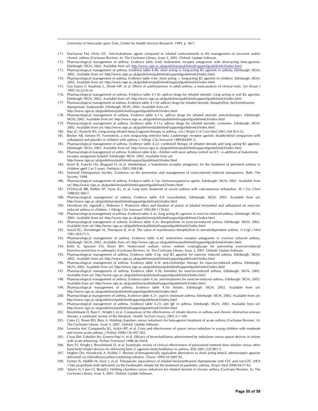University of Newcastle upon Tyne, Centre for Health Services Research; 1999. p. 46-7.

- 171. Ducharme FM, Hicks GC. Anti-leukotriene agents compared to inhaled corticosteroids in the management of recurrent and/or chronic asthma (Cochrane Review). In: The Cochrane Library, Issue 3, 2001. Oxford: Update Software.
- 172. Pharmacological management of asthma. Evidence table 4.4d: leukotriene receptor antagonists with short-acting beta-agonists. Edinburgh: SIGN; 2002. Available from url: http://www.sign.ac.uk/guidelines/published/support/guideline63/index.htm
- 173. Pharmacological management of asthma. Evidence table 4.4b: short acting vs long-acting B2 agonists in asthma. Edinburgh: SIGN; 2002. Available from url: http://www.sign.ac.uk/guidelines/published/support/guideline63/index.html
- 174. Pharmacological management of asthma. Evidence table 4.4e: short acting + long-acting B2 agonists in children. Edinburgh: SIGN; 2002. Available from url: http://www.sign.ac.uk/guidelines/published/support/guideline63/index.html
- 175. Van Ganse E, Kaufman L, Derde MP, et al. Effects of antihistamines in adult asthma: a meta-analysis of clinical trials. *Eur Respir J* 1997;10:2216-24.
- 176. Pharmacological management of asthma. Evidence table 4.11b: add-on drugs for inhaled steroids: Long acting or oral B2 agonists. Edinburgh: SIGN; 2002. Available from url: http://www.sign.ac.uk/guidelines/published/support/guideline63/index.html
- 177. Pharmacological management of asthma. Evidence table 4.11d: add-on drugs for inhaled steroids: theophylline, beclomethasone diproponate, budesonide. Edinburgh: SIGN; 2002. Available from url: http://www.sign.ac.uk/guidelines/published/support/guideline63/index.html
- 178. Pharmacological management of asthma. Evidence table 4.11c: add-on drugs for inhaled steroids: anticholinergics. Edinburgh: SIGN; 2002. Available from url: http://www.sign.ac.uk/guidelines/published/support/guideline63/index.html
- 179. Pharmacological management of asthma. Evidence table 4.11a: add-on drugs for inhaled steroids: cromones. Edinburgh: SIGN; 2002. Available from url: http://www.sign.ac.uk/guidelines/published/support/guideline63/index.html
- 180. Kips JC, Pauwels RA. Long-acting inhaled beta(2)-agonist therapy in asthma. *Am J Respir Crit Care Med* 2001;164:923-32.
- 181. Becker AB, Simons FE. Formoterol, a new long-acting selective beta 2-adrenergic receptor agonist: double-blind comparison with salbutamol and placebo in children with asthma. *J Allergy Clin Immunol* 1989;84:891-5.
- 182. Pharmacological management of asthma. Evidence table 4.22: combined therapy of inhaled steroids and long acting B2 agonists. Edinburgh: SIGN; 2002. Available from url: http://www.sign.ac.uk/guidelines/published/support/guideline63/index.html
- 183. Pharmacological management of asthma. Evidence table 4.8c: children with poor asthma control on ICS is addition of leukotriene receptor antagonists helpful? Edinburgh: SIGN; 2002. Available from url: http://www.sign.ac.uk/guidelines/published/support/guideline63/index.html
- 184. Knorr B, Franchi LM, Bisgaard H, et al. Montelukast, a leukotriene receptor antagonist, for the treatment of persistent asthma in children aged 2 to 5 years. *Pediatrics* 2001;108:E48.
- 185. National Osteoporosis Society. Guidance on the prevention and management of corticosteroid induced osteoporosis. Bath: The Society; 1998.
- 186. Pharmacological management of asthma. Evidence table 4.13a: immunosuppresive agents. Edinburgh: SIGN; 2002. Available from url: http://www.sign.ac.uk/guidelines/published/support/guideline63/index.html
- 187. O'Driscoll BR, Ruffles SP, Ayres JG, et al. Long term treatment of severe asthma with subcutaneous terbutaline. *Br J Dis Chest* 1988;82:360-7.
- 188. Pharmacological management of asthma. Evidence table 4.9: exacerbation. Edinburgh: SIGN; 2002. Available from url: http://www.sign.ac.uk/guidelines/published/support/guideline63/index.html
- 189. Henriksen JM, Agertoft L, Pedersen S. Protective effect and duration of action of inhaled formoterol and salbutamol on exerciseinduced asthma in children. *J Allergy Clin Immunol* 1992;89:1176-82.
- 190. Pharmacological management of asthma. Evidence table 4.3a: long acting B2 agonists in exercise induced asthma. Edinburgh: SIGN; 2002. Available from url: http://www.sign.ac.uk/guidelines/published/support/guideline63/index.html
- 191. Pharmacological management of asthma. Evidence table 4.3c: theophyllines in exercise-induced asthma. Edinburgh: SIGN; 2002. Available from url: http://www.sign.ac.uk/guidelines/published/support/guideline63/index.html
- 192. Nassif EG, Weinberger M, Thompson R, et al. The value of maintenance theophylline in steroid-dependent asthma. *N Engl J Med* 1981;304:71-5.
- 193. Pharmacological management of asthma. Evidence table 4.3d: leukotriene receptor antagonists in exercise induced asthma. Edinburgh: SIGN; 2002. Available from url: http://www.sign.ac.uk/guidelines/published/support/guideline63/index.html
- 194. Kelly K, Spooner CH, Rowe BH. Nedocromil sodium versus sodium cromoglycate for preventing exercise-induced bronchoconstriction in asthmatics (Cochrane Review). In: The Cochrane Library, Issue 3, 2001. Oxford: Update Software.
- Pharmacological management of asthma. Evidence table 4.3g: oral B2 agonists for exercise induced asthma. Edinburgh: SIGN; 2002. Available from url: http://www.sign.ac.uk/guidelines/published/support/guideline63/index.html
- 196. Pharmacological management of asthma. Evidence table 4.3f: anti-cholinergic therapy for exercise-induced asthma. Edinburgh: SIGN; 2002. Available from url: http://www.sign.ac.uk/guidelines/published/support/guideline63/index.html
- 197. Pharmacological management of asthma. Evidence table 4.3b: ketotifen for exercise-induced asthma. Edinburgh: SIGN; 2002. Available from url: http://www.sign.ac.uk/guidelines/published/support/guideline63/index.html
- 198. Pharmacological management of asthma. Evidence table 4.3e: anti-histamines for exercise-induced asthma. Edinburgh: SIGN; 2002. Available from url: http://www.sign.ac.uk/guidelines/published/support/guideline63/index.html
- 199. Pharmacological management of asthma. Evidence table 4.10: rhinitis. Edinburgh: SIGN; 2002. Available from url: http://www.sign.ac.uk/guidelines/published/support/guideline63/index.html
- 200. Pharmacological management of asthma. Evidence table 4.21: aspirin intolerant asthma. Edinburgh: SIGN; 2002. Available from url: http://www.sign.ac.uk/guidelines/published/support/guideline63/index.html
- 201. Pharmacological management of asthma. Evidence table 4.23: anti IgE in asthma. Edinburgh: SIGN; 2002. Available from url: http://www.sign.ac.uk/guidelines/published/support/guideline63/index.html
- 202. Brocklebank D, Ram F, Wright J, et al. Comparison of the effectiveness of inhaler devices in asthma and chronic obstructive airways disease: a systematic review of the literature. *Health Technol Assess* 2001;5:1-149.
- 203. Cates CJ, Rowe BH, Bara A. Holding chambers versus nebulisers for beta-agonist treatment of acute asthma (Cochrane Review). In: The Cochrane Library, Issue 3, 2001. Oxford: Update Software.
- 204. Leversha AM, Campanella SG, Aickin RP, et al. Costs and effectiveness of spacer versus nebuliser in young children with moderate and severe acute asthma. *J Pediatr* 2000;136:497-502.
- 205. Closa RM, Ceballos JM, Gomez-Papi A, et al. Efficacy of bronchodilators administered by nebulizers versus spacer devices in infants with acute wheezing. *Pediatr Pulmonol* 1998;26:344-8.
- 206. Ram FS, Wright J, Brocklebank D, et al. Systematic review of clinical effectiveness of pressurised metered dose inhalers versus other hand held inhaler devices for delivering beta (2 )agonists bronchodilators in asthma. *BMJ* 2001;323:901-5.
- 207. Hughes DA, Woodcock A, Walley T. Review of therapeutically equivalent alternatives to short acting beta(2) adrenoceptor agonists delivered via chlorofluorocarbon-containing inhalers. *Thorax* 1999;54:1087-92.
- 208. Farmer IS, Middle M, Savic J, et al. Therapeutic equivalence of inhaled beclomethasone dipropionate with CFC and non-CFC (HFA 134a) propellants both delivered via the Easibreathe inhaler for the treatment of paediatric asthma. *Respir Med* 2000;94:57-63.
- 209. Adams N, Cates CJ, Bestall J. Holding chambers versus nebulisers for inhaled steroids in chronic asthma (Cochrane Review). In: The Cochrane Library, Issue 3, 2001. Oxford: Update Software.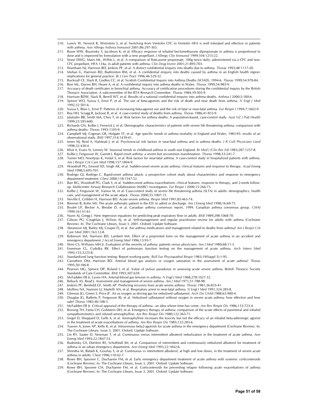- 210. Lumry W, Noveck R, Weinstein S, et al. Switching from Ventolin CFC to Ventolin HFA is well tolerated and effective in patients with asthma. *Ann Allergy Asthma Immunol* 2001;86:297-303.
- 211. Busse WW, Brazinsky S, Jacobson K, et al. Efficacy response of inhaled beclomethasone dipropionate in asthma is proportional to dose and is improved by formulation with a new propellant. *J Allergy Clin Immunol* 1999;104:1215-22.
- 212. Stone DWG, Mairs ML, Willits L, et al. A comparison of fluticasone propionate, 100g twice daily, administered via a CFC and non-CFC propellant, HFA 134a, in adult patients with asthma. *Clin Drug Invest* 2001;21:895-703.
- 213. Wareham NJ, Harrison BD, Jenkins PF, et al. A district confidential enquiry into deaths due to asthma. *Thorax* 1993;48:1117-20. 214. Mohan G, Harrison BD, Badminton RM, et al. A confidential enquiry into deaths caused by asthma in an English health region:
- implications for general practice. *Br J Gen Pract* 1996;46:529-32.
- 215. Bucknall CE, Slack R, Godley CC, et al. Scottish Confidential Inquiry into Asthma Deaths (SCIAD), 1994-6. *Thorax* 1999;54:978-84.
- 216. Burr ML, Davies BH, Hoare A, et al. A confidential inquiry into asthma deaths in Wales. *Thorax* 1999;54:985-9. 217. Accuracy of death certificates in bronchial asthma. Accuracy of certification procedures during the confidential inquiry by the British Thoracic Association. A subcommittee of the BTA Research Committee. *Thorax* 1984;39:505-9.
- 218. Harrison BDW, Slack R, Berrill WT, et al. Results of a national confidential enquiry into asthma deaths. *Asthma J* 2000;5:180-6.
- 219. Spitzer WO, Suissa S, Ernst P, et al. The use of beta-agonists and the risk of death and near death from asthma. *N Engl J Med* 1992;32:501-6.
- 220. Suissa S, Blais L, Ernst P. Patterns of increasing beta-agonist use and the risk of fatal or near-fatal asthma. *Eur Respir J* 1994;7:1602-9.
- 221. Rea HH, Scragg R, Jackson R, et al. A case-control study of deaths from asthma. *Thorax* 1986;41:833-9.

- 222. Jalaludin BB, Smith MA, Chey T, et al. Risk factors for asthma deaths: A population-based, case-control study. *Aust NZ J Pub Health* 1999;23:595-600.
- 223. Richards GN, Kolbe J, Fenwick J, et al. Demographic characteristics of patients with severe life threatening asthma: comparison with asthma deaths. *Thorax* 1993:1105-9.
- 224. Campbell MJ, Cogman GR, Holgate ST, et al. Age specific trends in asthma mortality in England and Wales, 1983-95: results of an observational study. *BMJ* 1997;314:1439-41.
- 225. Innes NJ, Reid A, Halstead J, et al. Psychosocial risk factors in near-fatal asthma and in asthma deaths. *J R Coll Physicians Lond* 1998;32:430-4.
- 226. Khot A, Evans N, Lenney W. Seasonal trends in childhood asthma in south east England. *Br Med J (Clin Res Ed)* 1983;287:1257-8.
- 227. Kolbe J, Fergusson W, Garrett J. Rapid onset asthma: a severe but uncommon manifestation. *Thorax* 1998;53:241-7.
- 228. Turner MO, Noertjojo K, Vedal S, et al. Risk factors for near-fatal asthma. A case-control study in hospitalized patients with asthma. *Am J Respir Crit Care Med* 1998;157:1804-9.
- 229. Woodruff PG, Emond SD, Singh AK, et al. Sudden-onset severe acute asthma: clinical features and response to therapy. *Acad Emerg Med* 1998;5:695-701.
- 230. Rodrigo GJ, Rodrigo C. Rapid-onset asthma attack: a prospective cohort study about characteristics and response to emergency department treatment. *Chest* 2000;118:1547-52.
- 231. Barr RG, Woodruff PG, Clark S, et al. Sudden-onset asthma exacerbations: clinical features, response to therapy, and 2-week followup. Multicenter Airway Research Collaboration (MARC) investigators. *Eur Respir J* 2000;15:266-73.
- 232. Kolbe J, Fergusson W, Vamos M, et al. Case-control study of severe life threatening asthma (SLTA) in adults: demographics, health care, and management of the acute attack. *Thorax* 2000;55:1007-15.
- 233. Neville E, Gribbin H, Harrison BD. Acute severe asthma. *Respir Med* 1991;85:463-74.
- 234. Brenner B, Kohn MS. The acute asthmatic patient in the ED: to admit or discharge. *Am J Emerg Med* 1998;16:69-75.
- 235. Boulet LP, Becker A, Berube D, et al. Canadian asthma consensus report, 1999. Canadian asthma consensus group. *CMAJ* 1999;161:S1-61.
- 236. Nunn AJ, Gregg I. New regression equations for predicting peak expiratory flow in adults. *BMJ* 1989;298:1068-70.
- 237. Gibson PG, Coughlan J, Wilson AJ, et al. Self-management and regular practitioner review for adults with asthma (Cochrane Review). In: The Cochrane Library, Issue 3, 2001. Oxford: Update Software.
- 238. Abramson MJ, Bailey MJ, Couper FJ, et al. Are asthma medications and management related to deaths from asthma? *Am J Respir Crit Care Med* 2001;163:12-8.
- 239. Robinson SM, Harrison BD, Lambert MA. Effect of a preprinted form on the management of acute asthma in an accident and emergency department. *J Accid Emerg Med* 1996;13:93-7.
- 240. Shim CS, Williams MH Jr. Evaluation of the severity of asthma: patients versus physicians. *Am J Med* 1980;68:11-3.
- 241. Emerman CL, Cydulka RK. Effect of pulmonary function testing on the management of acute asthma. *Arch Intern Med* 1995;155:2225-8.
- 242. Standardized lung function testing. Report working party. *Bull Eur Physiopathol Respir* 1983;19(Suppl 5):1-95.
- 243. Carruthers DM, Harrison BD. Arterial blood gas analysis or oxygen saturation in the assessment of acute asthma? *Thorax* 1995;50:186-8.
- 244. Pearson MG, Spence DP, Ryland I, et al. Value of pulsus paradoxus in assessing acute severe asthma. British Thoracic Society Standards of Care Committee. *BMJ* 1993;307:659.
- 245. McFadden ER Jr, Lyons HA. Arterial-blood gas tension in asthma. *N Engl J Med* 1968;278:1027-32.
- 246. Rebuck AS, Read J. Assessment and management of severe asthma. *Am J Med* 1971;51:788-98.
- 247. Jenkins PF, Benfield GF, Smith AP. Predicting recovery from acute severe asthma. *Thorax* 1981;36:835-41.
- 248. Molfino NA, Nannini LJ, Martelli AN, et al. Respiratory arrest in near-fatal asthma. *N Engl J Med* 1991;324:285-8.
- 249. Gleeson JG, Green S, Price JF. Air or oxygen as driving gas for nebulised salbutamol. *Arch Dis Child* 1988;63:900-4.
- 250. Douglas JG, Rafferty P, Fergusson RJ, et al. Nebulised salbutamol without oxygen in severe acute asthma: how effective and how safe? *Thorax* 1985;40:108-3.
- 251. McFadden ER Jr. Critical appraisal of the therapy of asthma an idea whose time has come. *Am Rev Respir Dis* 1986;133:723-4.
- 252. Rossing TH, Fanta CH, Goldstein DH, et al. Emergency therapy of asthma: comparison of the acute effects of parenteral and inhaled sympathomimetics and infused aminophylline. *Am Rev Respir Dis* 1980;122:365-71.
- 253. Siegel D, Sheppard D, Gelb A, et al. Aminophylline increases the toxicity but not the efficacy of an inhaled beta-adrenergic agonist in the treatment of acute exacerbations of asthma. *Am Rev Respir Dis* 1985;132:283-6.
- 254. Travers A, Jones AP, Kelly K, et al. Intravenous beta2-agonists for acute asthma in the emergency department (Cochrane Review). In: The Cochrane Library, Issue 3, 2001. Oxford: Update Software.
- 255. Lin RY, Sauter D, Newman T, et al. Continuous versus intermittent albuterol nebulization in the treatment of acute asthma. *Ann Emerg Med* 1993;22:1847-53.
- 256. Rudnitsky GS, Eberlein RS, Schoffstall JM, et al. Comparison of intermittent and continuously nebulized albuterol for treatment of asthma in an urban emergency department. *Ann Emerg Med* 1993;22:1842-6.
- 257. Shrestha M, Bidadi K, Gourlay S, et al. Continuous vs intermittent albuterol, at high and low doses, in the treatment of severe acute asthma in adults. *Chest* 1996;110:42-7.
- 258. Rowe BH, Spooner C, Ducharme FM, et al. Early emergency department treatment of acute asthma with systemic corticosteroids (Cochrane Review). In: The Cochrane Library, Issue 3, 2001. Oxford: Update Software.
- 259. Rowe BH, Spooner CH, Ducharme FM, et al. Corticosteroids for preventing relapse following acute exacerbations of asthma (Cochrane Review). In: The Cochrane Library, Issue 3, 2001. Oxford: Update Software.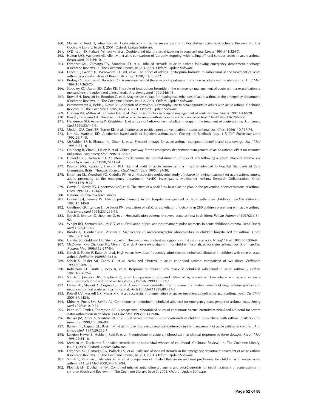- 260. Manser R, Reid D, Abramson M. Corticosteroids for acute severe asthma in hospitalised patients (Cochrane Review). In: The Cochrane Library, Issue 3, 2001. Oxford: Update Software.
- 261. O'Driscoll BR, Kalra S, Wilson M, et al. Double-blind trial of steroid tapering in acute asthma. *Lancet* 1993;341:324-7.
- 262. Hatton MQ, Vathenen AS, Allen MJ, et al. A comparison of 'abruptly stopping' with 'tailing off' oral corticosteroids in acute asthma. *Respir Med*1995;89:101-4.
- 263. Edmonds ML, Camargo CA, Saunders LD, et al. Inhaled steroids in acute asthma following emergency department discharge (Cochrane Review). In: The Cochrane Library, Issue 3, 2001. Oxford: Update Software.
- 264. Lanes SF, Garrett JE, Wentworth CE 3rd, et al. The effect of adding ipratropium bromide to salbutamol in the treatment of acute asthma: a pooled analysis of three trials. *Chest* 1998;114:365-72.
- 265. Rodrigo G, Rodrigo C, Burschtin O. A meta-analysis of the effects of ipratropium bromide in adults with acute asthma. *Am J Med* 1999;107:363-70.
- 266. Stoodley RG, Aaron SD, Dales RE. The role of ipratropium bromide in the emergency management of acute asthma exacerbation: a metaanalysis of randomized clinical trials. *Ann Emerg Med* 1999;34:8-18.
- 267. Rowe BH, Bretzlaff JA, Bourdon C, et al. Magnesium sulfate for treating exacerbations of acute asthma in the emergency department (Cochrane Review). In: The Cochrane Library, Issue 2, 2001. Oxford: Update Software.
- 268. Parameswaran K, Belda J, Rowe BH. Addition of intravenous aminophylline to beta2-agonists in adults with acute asthma (Cochrane Review). In: The Cochrane Library, Issue 3, 2001. Oxford: Update Software.
- 269. Graham VA, Milton AF, Knowles GK, et al. Routine antibiotics in hospital management of acute asthma. *Lancet* 1982;1:418-20.
- 270. Kass JE, Terregino CA. The effect of heliox in acute severe asthma: a randomized controlled trial. *Chest* 1999;116:296-300. 271. Henderson SO, Acharya P, Kilaghbian T, et al. Use of heliox-driven nebulizer therapy in the treatment of acute asthma. *Ann Emerg Med* 1999;33:141-6.
- 272. Meduri GU, Cook TR, Turner RE, et al. Noninvasive positive pressure ventilation in status asthmaticus. *Chest* 1996;110:767-74.
- 273. Lim KL, Harrison BD. A criterion based audit of inpatient asthma care. Closing the feedback loop. *J R Coll Physicians Lond* 1992;26:71-5.
- 274. McFadden ER Jr, Elsanadi N, Dixon L, et al. Protocol therapy for acute asthma: therapeutic benefits and cost savings. *Am J Med* 1995;6:651-61.
- 275. Goldberg R, Chan L, Haley P, et al. Critical pathway for the emergency department management of acute asthma: effect on resource utilization. *Ann Emerg Med* 1998;31:562-7.
- 276. Udwadia ZF, Harrison BD. An attempt to determine the optimal duration of hospital stay following a severe attack of asthma. *J R Coll Physicians Lond* 1990;24:112-4.
- 277. Pearson MG, Ryland I, Harrison BD. National audit of acute severe asthma in adults admitted to hospital. Standards of Care Committee, British Thoracic Society. *Qual Health Care* 1995;4:24-30.
- 278. Emerman CL, Woodruff PG, Cydulka RK, et al. Prospective multicenter study of relapse following treatment for acute asthma among adults presenting to the emergency department. MARC investigators. Multicenter Asthma Research Collaboration. *Chest* 1999;115:919 27.
- 279. Cowie RI, Revitt SG, Underwood MF, et al. The effect of a peak flow-based action plan in the prevention of exacerbations of asthma. *Chest* 1997;112:1534-8.
- 280 National asthma task force survey

- 281. Connett GJ, Lenney W. Use of pulse oximetry in the hospital management of acute asthma in childhood. *Pediatr Pulmonol* 1993;15:345-9.
- 282. Geelhoed GC, Landau LI, Le Seouf PN. Evaluation of SaO2 as a predictor of outcome in 280 children presenting with acute asthma. *Ann Emerg Med* 1994;23:1236-41.
- 283. Schuh S, Johnson D, Stephens D, et al. Hospitalization patterns in severe acute asthma in children. *Pediatr Pulmonol* 1997;23:184- 92.
- 284. Wright RO, Santucci KA, Jay GD, et al. Evaluation of pre- and posttreatment pulse oximetry in acute childhood asthma. *Acad Emerg Med* 1997;4:114-7.
- 285. Brooks LJ, Cloutier MM, Afshani E. Significance of roentgenographic abnormalities in children hospitalized for asthma. *Chest* 1982;82:315-8.
- 286. Gershel JC, Goldman HS, Stein RE, et al. The usefulness of chest radiographs in first asthma attacks. *N Engl J Med* 1983;309:336-9.
- 287. McDowell KM, Chatburn RL, Myers TR, et al. A cost-saving algorithm for children hospitalized for status asthmaticus. *Arch Paediatr Adolesc Med* 1998;152:977-84.
- 288. Schuh S, Parkin P, Rajan A, et al. High-versus low-dose, frequently administered, nebulised albuterol in children with severe, acute asthma. *Pediatrics* 1989;83:513-8.
- 289. Schuh S, Reider MJ, Canny G, et al. Nebulized albuterol in acute childhood asthma: comparison of two doses. *Pediatrics* 1990;86:509-13.
- 290. Robertson CF, Smith F, Beck R, et al. Response to frequent low doses of nebulized salbutamol in acute asthma. *J Pediatr* 1985;106:672-4.
- 291. Schuh S, Johnson DW, Stephens D, et al. Comparison of albuterol delivered by a metered dose inhaler with spacer versus a nebuliser in children with mild acute asthma. *J Pediatr* 1999;135:22-7.
- 292. Dewar AL, Stewart A, Cogswell II, et al. A randomised controlled trial to assess the relative benefits of large volume spacers and nebulisers to treat acute asthma in hospital. *Arch Dis Child* 1999;80:421-3.
- 293. Powell CV, Maskell GR, Marks MK, et al. Successful implementation of spacer treatment guideline for acute asthma. *Arch Dis Child* 2001;84:142-6.
- 294. Khine H, Fuchs SM, Saville AL. Continuous vs intermittent nebulized albuterol for emergency management of asthma. *Acad Emerg Med* 1996;3:1019-24.
- 295. Papo MC, Frank J, Thompson AE. A prospective, randomized study of continuous versus intermittent nebulized albuterol for severe status asthmaticus in children. *Crit Care Med* 1993;21:1479-86.
- 296. Becker JM, Arora A, Scarfone RJ, et al. Oral versus intravenous corticosteroids in children hospitalized with asthma. *J Allergy Clin Immunol* 1999;103:586-90.
- 297. Barnett PL, Caputo GL, Baskin M, et al. Intravenous versus oral corticosteroids in the management of acute asthma in children. *Ann Emerg Med* 1997;29:212-7.
- 298. Langton Hewer S, Hobbs J, Reid F, et al. Prednisolone in acute childhood asthma: clinical responses to three dosages. *Respir Med* 1998;92:541-6.
- 299. McKean M, Ducharme F. Inhaled steroids for episodic viral wheeze of childhood (Cochrane Review). In: The Cochrane Library, Issue 3, 2001. Oxford: Update Software.
- 300. Edmonds ML, Camargo CA, Pollack CV, et al. Early use of inhaled steroids in the emergency department treatment of acute asthma (Cochrane Review). In: The Cochrane Library, Issue 3, 2001. Oxford: Update Software.
- 301. Schuh S, Reisman J, Alshehri M, et al. A comparison of inhaled fluticasone and oral prednisone for children with severe acute asthma. *N Engl J Med* 2000;343:689-94.
- 302. Plotnick LH, Ducharme FM. Combined inhaled anticholinergic agents and beta-2-agonists for initial treatment of acute asthma in children (Cochrane Review). In: The Cochrane Library, Issue 3, 2001. Oxford: Update Software.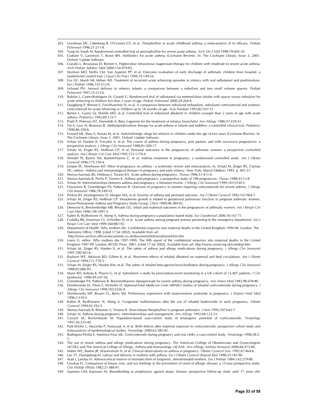- 303. Goodman DC, Littenberg B, O'Connor GT, et al. Theophylline in acute childhood asthma: a meta-analysis of its efficacy. *Pediatr Pulmonol* 1996;21:211-8.
- 304. Yung M, South M. Randomised controlled trial of aminophylline for severe acute asthma. *Arch Dis Child* 1998;79:405-10.

- 305. Graham V, Lasserson T, Rowe BH. Antibiotics for acute asthma (Cochrane Review). In: The Cochrane Library, Issue 3, 2001. Oxford: Update Software.
- 306. Ciarallo L, Brousseau D, Reinert S. Higher-dose intravenous magnesium therapy for children with moderate to severe acute asthma. *Arch Pediatr Adolesc Med* 2000;154:979-83.
- 307. Stormon MO, Mellis CM, Van Asperen PP, et al. Outcome evaluation of early discharge of asthmatic children from hospital: a randomized control trial. *J Qual Clin Pract* 1999;19:149-54.
- 308. Fox GF, Marsh MJ, Milner AD. Treatment of recurrent acute wheezing episodes in infancy with oral salbutamol and prednisolone. *Eur J Pediatr* 1996;155:512-6.
- 309. LeSouef PN. Aerosol delivery to wheezy infants: a comparison between a nebulizer and two small volume spacers. *Pediatr Pulmonol* 1997;23:212-6.
- 310. Rubilar L, Castro-Rodriguez JA, Girardi G. Randomized trial of salbutamol via metered-dose inhaler with spacer versus nebulizer for acute wheezing in children less than 2 years of age. *Pediatr Pulmonol* 2000;29:264-9.
- 311. Daugbjerg P, Brenoe E, Forchhammer H, et al. A comparison between nebulized terbutaline, nebulized corticosteroid and systemic corticosteroid for acute wheezing in children up to 18 months of age. *Acta Paediatr* 1993;82:547-51.
- 312. Bentur L, Canny GJ, Shields MD, et al. Controlled trial of nebulized albuterol in children younger than 2 years of age with acute asthma. *Pediatrics* 1992;89:133-7.
- 313. Prahl P, Petersen NT, Hornsleth A. Beta 2-agonists for the treatment of wheezy bronchitis? *Ann Allergy* 1986;57:439-41.
- 314. Tal A, Levy N, Bearman JE. Methylprednisolone therapy for acute asthma in infants and toddlers: a controlled clinical trial. *Pediatrics* 1990;86:350-6.
- 315. Everard ML, Bara A, Kurian M, et al. Anticholinergic drugs for wheeze in children under the age of two years (Cochrane Review). In: The Cochrane Library, Issue 3, 2001. Oxford: Update Software.
- 316. Schatz M, Harden K, Forsythe A, et al. The course of asthma during pregnancy, post partum, and with successive pregnancies: a prospective analysis. *J Allergy Clin Immunol* 1988;81:509-17.
- 317. Schatz M, Zeiger RS, Hoffman CP, et al. Perinatal outcomes in the pregnancies of asthmatic women: a prospective controlled analysis. *Am J Respir Crit Care Med* 1995;151:1170-4.
- 318. Wendel PJ, Ramin SM, Barnett-Hamm C, et al. Asthma treatment in pregnancy: a randomized controlled study. *Am J Obstet Gynecol* 1996;175:150-4.
- 319. Juniper EF, Newhouse MT. Effect of pregnancy on asthma a systematic review and meta-analysis. In: Schatz M, Zeiger RS, Claman HC, editors. Asthma and immunological diseases in pregnancy and early infancy. New York: Marcel Dekker; 1993. p. 401-27.
- 320. Stenius-Aarniala BS, Hedman J, Terano KA. Acute asthma during pregnancy. *Thorax* 1996;51:411-4.
- 321. Stenius-Aarniala B, Piirila P, Teramo K. Asthma and pregnancy: a prospective study of 198 pregnancies. *Thorax* 1988;43:12-8.
- 322. Schatz M. Interrelationships between asthma and pregnancy: a literature review. *J Allergy Clin Immunol* 1999;103:S330-5. 323. Fitzsimons R, Greenberger PA, Patterson R. Outcome of pregnancy in women requiring corticosteroids for severe asthma. *J Allergy Clin Immunol* 1986;78:349-53.
- 324. Perlow JH, Montogomery D, Morgan MA, et al. Severity of asthma and perinatal outcome. *Am J Obstet Gynecol* 1992;167:964-7.
- 325. Schatz M, Zeiger RS, Hoffman CP. Intrauterine growth is related to gestational pulmonary function in pregnant asthmatic women. Kaiser-Permanente Asthma and Pregnancy Study Group. *Chest* 1990;98:389-92.
- 326. Demissie K, Breckenbridge MB, Rhoads GG. Infant and maternal outcomes in the pregnancies of asthmatic women. *Am J Respir Crit Care Med* 1998;158:1091-5.
- 327. Kallen B, Rydhstroem H, Aberg A. Asthma during pregnancy-a population based study. *Eur J Epidemiol* 2000;16:167-71.
- 328. Cydulka RK, Emerman CL, Schreiber D, et al. Acute asthma among pregnant women presenting to the emergency department. *Am J Respir Crit Care Med* 1999;160:887-92.
- 329. Department of Health. Why mothers die. Confidential enquiries into maternal deaths in the United Kingdom 1994-96. London: The Stationery Office; 1998. [cited 17 Jul 2002]. Available from url:
- http://www.archive.official-documents.co.uk/document/doh/wmd/wmd-hm.htm 330. Lewis G, editor. Why mothers die 1997-1999. The fifth report of the confidential enquiries into maternal deaths in the United
- Kingdom 1997-99. London: RCOG Press; 2001. [cited 17 Jul 2002]. Available from url: http://www.cemd.org.uk/cemdrpt.htm 331. Schatz M, Zeiger RS, Harden K, et al. The safety of asthma and allergy medications during pregnancy. *J Allergy Clin Immunol*
- 1997;100:301-6. 332. Rayburn WF, Atkinson BD, Gilbert K, et al. Short-term effects of inhaled albuterol on maternal and fetal circulations. *Am J Obstet Gynecol* 1994;171:770-3.
- 333. Schatz M, Zeiger RS, Harden KM, et al. The safety of inhaled beta-agonist bronchodilators during pregnancy. *J Allergy Clin Immunol* 1988;82:686-95.
- 334. Mann RD, Kubota K, Pearce G, et al. Salmeterol: a study by prescription-event monitoring in a UK cohort of 15,407 patients. *J Clin Epidemiol* 1996;49:247-50.
- 335. Greenberger PA, Patterson R. Beclomethasone diproprionate for severe asthma during pregnancy. *Ann Intern Med* 1983;98:478-80. 336. Dombrowski M, Thom E, McNellis D. Maternal-Fetal Medicine Units (MFMU) studies of inhaled corticosteroids during pregnancy. *J*
- *Allergy Clin Immunol* 1999;103:S356-9. 337. Dombrowski MP, Brown CL, Berry SM. Preliminary experience with triamcinolone acetonide in pregnancy. *J Matern Fetal Med* 1996;5:310-3.
- 338. Kallen B, Rydhstroem H, Aberg A. Congenital malformations after the use of inhaled budesonide in early pregnancy. *Obstet Gynecol* 1999;92:292-5.
- 339. Stenius-Aarniala B, Riikonen S, Teramo K. Slow-release theophylline in pregnant asthmatics. *Chest* 1995;107:642-7.
- 340. Schatz M. Asthma during pregnancy: interrelationships and management. *Ann Allergy* 1992;68:123-33.
- 341. Czeizel AE, Rockenbauer M. Population-based case-control study of teratogenic potential of corticosteroids. *Teratology* 1997;56:335-40.
- 342. Park-Wyllie L, Mazzotta P, Pastuszak A, et al. Birth defects after maternal exposure to corticosteroids: prospective cohort study and meta-analysis of epidemiological studies. *Teratology* 2000;62:385-92.
- 343. Rodriguez-Pinilla E, Martinez-Frias ML. Corticosteroids during pregnancy and oral clefts: a case-control study. *Teratology* 1998;58:2- 5.
- 344. The use of newer asthma and allergy medications during pregnancy. The American College of Obstetricians and Gynecologists (ACOG) and The Americal College of Allergy, Asthma and Immunology (ACAAI). *Ann Allergy Asthma Immunol* 2000;84:475-80.
- 345. Mabie WC, Barton JR, Wasserstrum N, et al. Clinical observations on asthma in pregnancy. *Obstet Gynecol Surv* 1992;47:464-6.
- 346. Lao TT, Huengsburg M. Labour and delivery in mothers with asthma. *Eur J Obstet Gynecol Reprod Biol* 1990;35:183-90.
- 347. Arad I, Landau H. Adrenocortical reserve of neonates born of long-term, steroid-treated mothers. *Eur J Pediatr* 1984;142:279-80.
- 348. Gruskay FL. Comparison of breast, cow, and soy feedings in the prevention of onset of allergic disease: a 15-year prospective study. *Clin Pediatr (Phila)* 1982;21:486-91.
- 349. Saarinen UM, Kajosaari M. Breastfeeding as prophylaxis against atopic disease: prospective follow-up study until 17 years old.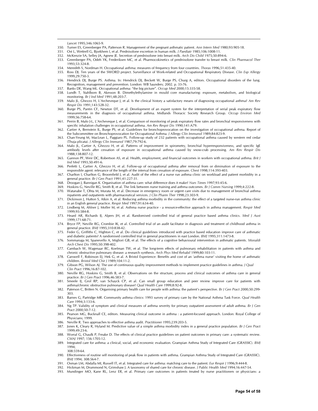- 350. Turner ES, Greenberger PA, Patterson R. Management of the pregnant asthmatic patient. *Ann Intern Med* 1980;93:905-18.
- 351. Ost L, Wettrell G, Bjorkhem I, et al. Prednisolone excretion in human milk. *J Paediatr* 1985;106:1008-11.
- 352. McKenzie SA, Selley JA, Agnew JE. Secretion of prednisolone into breast milk. *Arch Dis Child* 1975;50:894-6.
- 353. Greenberger PA, Odeh YK, Frederiksen MC, et al. Pharmocokinetics of prednisolone transfer to breast milk. *Clin Pharmacol Ther* 1993;53:324-8.
- 354. Meredith S, Nordman H. Occupational asthma: measures of frequency from four countries. *Thorax* 1996;51:435-40.
- 355. Ross DJ. Ten years of the SWORD project. Surveillance of Work-related and Occupational Respiratory Disease. *Clin Exp Allergy* 1999;29:750-3.
- 356. Hendrick DJ, Burge PS. Asthma. In: Hendrick DJ, Beckett W, Burge PS, Churg A, editors. Occupational disorders of the lung. Recognition, management and prevention. London: WB Saunders; 2002. p. 33-76.
- 357. Banks DE, Wang ML. Occupational asthma: "the big picture". *Occup Med* 2000;15:335-58.
- 358. Lundh T, Stahlbom B, Akesson B. Dimethylethylamine in mould core manufacturing: exposure, metabolism, and biological monitoring. *Br J Ind Med* 1991;48:203-7.
- 359. Malo JL, Ghezzo H, L'Archeveque J, et al. Is the clinical history a satisfactory means of diagnosing occupational asthma? *Am Rev Respir Dis* 1991;143:528-32.
- 360. Burge PS, Pantin CF, Newton DT, et al. Development of an expert system for the interpretation of serial peak expiratory flow measurements in the diagnosis of occupational asthma. Midlands Thoracic Society Research Group. *Occup Environ Med* 1999;56:758-64.
- 361. Perrin B, Malo J-L, L'Archeveque J, et al. Comparison of monitoring of peak expiratory flow rates and bronchial responsiveness with specific inhalation challenges in occupational asthma. *Am Rev Respir Dis* 1990;141:A79.
- 362. Cartier A, Bernstein IL, Burge PS, et al. Guidelines for bronchoprovocation on the investigation of occupational asthma. Report of the Subcommittee on Bronchoprovocation for Occupational Asthma. *J Allergy Clin Immunol* 1989;84:823-9.
- 363. Chan-Yeung M, MacLean L, Paggiaro PL. Follow-up study of 232 patients with occupational asthma caused by western red cedar (Thuja plicata). *J Allergy Clin Immunol* 1987;79:792-6.
- 364. Malo JL, Cartier A, Ghezzo H, et al. Patterns of improvement in spirometry, bronchial hyperresponsiveness, and specific IgE antibody levels after cessation of exposure in occupational asthma caused by snow-crab processing. *Am Rev Respir Dis* 1988;138:807-12.
- 365. Gannon PF, Weir DC, Robertson AS, et al. Health, employment, and financial outcomes in workers with occupational asthma. *Brit J Ind Med* 1993;50:491-6.
- 366. Perfetti L, Cartier A, Ghezzo H, et al. Follow-up of occupational asthma after removal from or diminution of exposure to the responsible agent: relevance of the length of the interval from cessation of exposure. *Chest* 1998;114:393-403.
- 367. Charlton I, Charlton G, Broomfield J, et al. Audit of the effect of a nurse run asthma clinic on workload and patient morbidity in a general practice. *Br J Gen Pract* 1991;41:227-31.
- 368. Droogan J, Bannigan K. Organisation of asthma care: what difference does it make? *Nurs Times* 1997;93:45-6.
- 369. Hoskins G, Neville RG, Smith B, et al. The link between nurse training and asthma outcomes. *Br J Comm Nursing* 1999;4:222-8. 370. Watanabe T, Ohta M, Murata M, et al. Decrease in emergency room or urgent care visits due to management of bronchial asthma inpatients and outpatients with pharmaceutical services. *J Clin Pharm Ther* 1998;23:303-9.
- 371. Dickinson J, Hutton S, Atkin A, et al. Reducing asthma morbidity in the community: the effect of a targeted nurse-run asthma clinic in an English general practice. *Respir Med* 1997;91:634-40.
- 372. Lindberg M, Ahlner J, Moller M, et al. Asthma nurse practice a resource-effective approach in asthma management. *Respir Med* 1999;93:584-8.
- 373. Heard AR, Richards IJ, Alpers JH, et al. Randomised controlled trial of general practice based asthma clinics. *Med J Aust* 1999;171:68-71.
- 374. Bryce FP, Neville RG, Crombie IK, et al. Controlled trial of an audit facilitator in diagnosis and treatment of childhood asthma in general practice. *BMJ* 1995;310:838-42.
- 375. Feder G, Griffiths C, Highton C, et al. Do clinical guidelines introduced with practice based education improve care of asthmatic and diabetic patients? A randomised controlled trial in general practitioners in east London. *BMJ* 1995;311:1473-8.
- 376. Sommaruga M, Spanevello A, Migliori GB, et al. The effects of a cognitive behavioural intervention in asthmatic patients. *Monaldi Arch Chest Dis* 1995;50:398-402.
- 377. Cambach W, Wagenaar RC, Koelman TW, et al. The long-term effects of pulmonary rehabilitation in patients with asthma and chronic obstructive pulmonary disease: a research synthesis. *Arch Phys Med Rehabil* 1999;80:103-11.
- 378. Carswell F, Robinson EJ, Hek G, et al. A Bristol Experience: Benefits and cost of an 'asthma nurse' visiting the home of asthmatic children. *Bristol Med Chir J* 1989;104:11-2.
- 379. Gibson PG, Wilson AJ. The use of continuous quality improvement methods to implement practice guidelines in asthma. *J Qual Clin Pract* 1996;16:87-102.
- 380. Neville RG, Hoskins G, Smith B, et al. Observations on the structure, process and clinical outcomes of asthma care in general practice. *Br J Gen Pract* 1996;46:583-7.
- 381. Smeele IJ, Grol RP, van Schayck CP, et al. Can small group education and peer review improve care for patients with asthma/chronic obstructive pulmonary disease? *Qual Health Care* 1999;8:92-8.
- 382. Paterson C, Britten N. Organising primary health care for people with asthma: the patient's perspective. *Br J Gen Pract* 2000;50:299- 303.
- 383. Barnes G, Partridge MR. Community asthma clinics: 1993 survey of primary care by the National Asthma Task Force. *Qual Health Care* 1994;3:133-6.
- 384. Ng TP. Validity of symptom and clinical measures of asthma severity for primary outpatient assessment of adult asthma. *Br J Gen Pract* 2000;50:7-12.
- 385. Pearson MG, Bucknall CE, editors. Measuring clinical outcome in asthma : a patient-focused approach. London: Royal College of Physicians; 1999.
- 386. Neville R. Two approaches to effective asthma audit. *Practitioner* 1995;239:203-5.
- 387. Jones K, Cleary R, Hyland M. Predictive value of a simple asthma morbidity index in a general practice population. *Br J Gen Pract* 1999;49:23-6.
- 388. Worral G, Chaulk P, Freake D. The effects of clinical practice guidelines on patient outcomes in primary care: a systematic review. *CMAJ* 1997; 156:1705-12.
- 389. Integrated care for asthma: a clinical, social, and economic evaluation. Grampian Asthma Study of Integrated Care (GRASSIC). *BMJ* 1994;
- 308:559-64.
- 390. Effectiveness of routine self monitoring of peak flow in patients with asthma. Grampian Asthma Study of Integrated Care (GRASSIC). *BMJ* 1994; 308:564-7.
- 391. Osman LM, Abdalla MI, Russell IT, et al. Integrated care for asthma: matching care to the patient. *Eur Respir J* 1996;9:444-8.
- 392. Hickman M, Drummond N, Grimshaw J. A taxonomy of shared care for chronic disease. *J Public Health Med* 1994;16:447-54.
- 393. Mundinger MO, Kane RL, Lenz ER, et al. Primary care outcomes in patients treated by nurse practitioners or physicians: a

*Lancet* 1995;346:1065-9.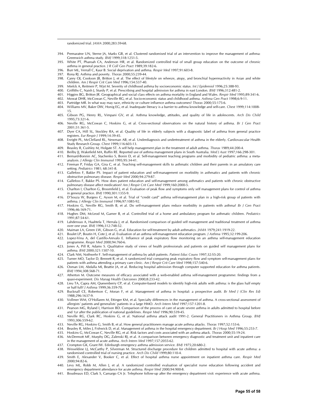randomized trial. *JAMA* 2000;283:59-68.

- 394. Premaratne UN, Sterne JA, Marks GB, et al. Clustered randomised trial of an intervention to improve the management of asthma: Greenwich asthma study. *BMJ* 1999;318:1251-5.
- 395. White PT, Pharoah CA, Anderson HR, et al. Randomized controlled trial of small group education on the outcome of chronic asthma in general practice. *J R Coll Gen Pract* 1989;39:182-6.
- 396. Burr ML, Verrall C, Kaur B. Social deprivation and asthma. *Respir Med* 1997;91:603-8.
- 397. Rona RJ. Asthma and poverty. *Thorax* 2000;55:239-44.
- 398. Carey OJ, Cookson JB, Britton J, et al. The effect of lifestyle on wheeze, atopy, and bronchial hyperreactivity in Asian and white children. *Am J Respir Crit Care Med* 1996;154:537-40.
- 399. Mielck A, Reitmeir P, Wjst M. Severity of childhood asthma by socioeconomic status. *Int J Epidemiol* 1996;25:388-93.
- 400. Griffiths C, Naish J, Sturdy P, et al. Prescribing and hospital admission for asthma in east London. *BMJ* 1996;312:481-2.
- 401. Higgins BG, Britton JR. Geographical and social class effects on asthma mortality in England and Wales. *Respir Med* 1995;89:341-6.
- 402. Mowat DHR, McCowan C, Neville RG, et al. Socio-economic status and childhood asthma. *Asthma Gen Pract* 1998;6:9-11.
- 403. Partridge MR. In what way may race, ethnicity or culture influence asthma outcomes? *Thorax* 2000;55:175-6.
- 404. Williams MV, Baker DW, Honig EG, et al. Inadequate literacy is a barrier to asthma knowledge and self-care. *Chest* 1999;114:1008- 15.
- 405. Gibson PG, Henry RL, Vimpani GV, et al. Asthma knowledge, attitudes, and quality of life in adolescents. *Arch Dis Child* 1995;73:321-6.
- 406. Neville RG, McCowan C, Hoskins G, et al. Cross-sectional observations on the natural history of asthma. *Br J Gen Pract* 2001;51:361-5.
- 407. Dyer CA, Hill SL, Stockley RA, et al. Quality of life in elderly subjects with a diagnostic label of asthma from general practice registers. *Eur Respir J* 1999;14:39-45.
- 408. Enright PL, McClelland RL, Newman AB, et al. Underdiagnosis and undertreatment of asthma in the elderly. Cardiovascular Health Study Research Group. *Chest* 1999;116:603-13.
- 409. Beasley R, Cushley M, Holgate ST. A self help management plan in the treatment of adult asthma. *Thorax* 1989;44:200-4.
- 410. Beilby JJ, Wakefield MA, Ruffin RE. Reported use of asthma management plans in South Australia. *Med J Aust* 1997;166:298-301. 411. Bernard-Bonnin AC, Stachenko S, Bonin D, et al. Self-management teaching programs and morbidity of pediatric asthma: a meta-
- analysis. *J Allergy Clin Immunol* 1995;95:34-41. 412. Fireman P, Friday GA, Gira C, et al. Teaching self-management skills to asthmatic children and their parents in an amulatory care
- setting. *Pediatrics* 1981; 68:341-8.
- 413. Gallefoss F, Bakke PS. Impact of patient education and self-management on morbidity in asthmatics and patients with chronic obstructive pulmonary disease. *Respir Med* 2000;94:279-87.
- 414. Gallefoss F, Bakke PS. How does patient education and self-management among asthmatics and patients with chronic obstructive pulmonary disease affect medication? *Am J Respir Crit Care Med* 1999;160:2000-5.
- 415. Charlton I, Charlton G, Broomfield J, et al. Evaluation of peak flow and symptoms only self management plans for control of asthma in general practice. *BMJ* 1990;301:1355-9.
- 416. D'Souza W, Burgess C, Ayson M, et al. Trial of "credit card" asthma self-management plan in a high-risk group of patients with asthma. *J Allergy Clin Immunol* 1996;97:1085-92.
- 417. Hoskins G, Neville RG, Smith B, et al. Do self-management plans reduce morbidity in patients with asthma? *Br J Gen Pract* 1996;46:169-71.
- 418. Hughes DM, McLeod M, Garner B, et al. Controlled trial of a home and ambulatory program for asthmatic children. *Pediatrics* 1991;87:54-61.
- 419. Lahdensuo A, Haahtela T, Herrala J, et al. Randomised comparison of guided self management and traditional treatment of asthma over one year. *BMJ* 1996;312:748-52.
- 420. Maiman LA, Green LW, Gibson G, et al. Education for self-treatment by adult asthmatics. *JAMA* 1979;241:1919-22.
- 421. Boulet LP, Boutin H, Cote J, et al. Evaluation of an asthma self-management education program. *J Asthma* 1995;32:199-206. 422. Lopez-Vina A, del Castillo-Arevalo E. Influence of peak expiratory flow monitoring on an asthma self-management education
- programme. *Respir Med* 2000;94:760-6. 423. Jones A, Pill R, Adams S. Qualitative study of views of health professionals and patients on guided self management plans for asthma. *BMJ* 2000;321:1507-10.
- 424. Clark NM, Nothwehr F. Self-management of asthma by adult patients. *Patient Educ Couns* 1997;32:S5-20.
- 425. Turner MO, Taylor D, Bennett R, et al. A randomized trial comparing peak expiratory flow and symptom self-management plans for patients with asthma attending a primary care clinic. *Am J Respir Crit Care Med* 1998;157:540-6.
- 426. Osman LM, Abdalla MI, Beattie JA, et al. Reducing hospital admission through computer supported education for asthma patients. *BMJ* 1994;308:568-71.
- 427. Atherton M. Outcome measures of efficacy associated with a web-enabled asthma self-management programme: findings from a quasi-experiment. *Dis Manag Health Outcomes* 2000;8:233-42.
- 428. Lieu TA, Capra AM, Quesenberry CP, et al. Computer-based models to identify high-risk adults with asthma: is the glass half empty or half full? *J Asthma* 1999;36:359-70.
- 429. Bucknall CE, Robertson C, Moran F, et al. Management of asthma in hospital: a prospective audit. *Br Med J (Clin Res Ed)* 1988;296:1637-9.
- 430. Vollmer WM, O'Hollaren M, Ettinger KM, et al. Specialty differences in the management of asthma. A cross-sectional assessment of allergists' patients and generalists' patients in a large HMO. *Arch Intern Med* 1997;157:1201-8.
- 431. Pearson MG, Ryland I, Harrison BD. Comparison of the process of care of acute severe asthma in adults admitted to hospital before and 1yr after the publication of national guidelines. *Respir Med* 1996;90:539-45.
- 432. Neville RG, Clark RC, Hoskins G, et al. National asthma attack audit 1991-2. General Practitioners in Asthma Group. *BMJ* 1993;306:559-62.
- 433. Neville RG, Hoskins G, Smith B, et al. How general practitioners manage acute asthma attacks. *Thorax* 1997;52:153-6.
- 434. Beasley R, Miles J, Fishwick D, et al. Management of asthma in the hospital emergency department. *Br J Hosp Med* 1996;55:253-7.
- 435. Hoskins G, McCowan C, Neville RG, et al. Risk factors and costs associated with an asthma attack. *Thorax* 2000;55:19-24. 436. McDermott MF, Murphy DG, Zalenski RJ, et al. A comparison between emergency diagnostic and treatment unit and inpatient care
- in the management of acute asthma. *Arch Intern Med* 1997;157:2055-62.
- 437. Crompton GK, Grant IW. Edinburgh emergency asthma admission service. *BMJ* 1975;20:680-2.
- 438. Wesseldine LJ, McCarthy P, Silverman M. Structured discharge procedure for children admitted to hospital with acute asthma: a randomised controlled trial of nursing practice. *Arch Dis Child* 1999;80:110-4.
- 439. Smith E, Alexander V, Booker C, et al. Effect of hospital asthma nurse appointment on inpatient asthma care. *Respir Med* 2000;94:82-6.
- 440. Levy ML, Robb M, Allen J, et al. A randomized controlled evaluation of specialist nurse education following accident and emergency department attendance for acute asthma. *Respir Med* 2000;94:900-8.
- 441. Boudreaux ED, Clark S, Camargo CA Jr. Telephone follow-up after the emergency department visit: experience with acute asthma.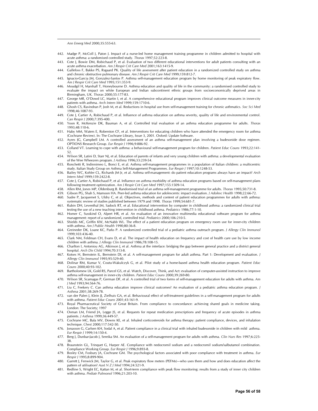*Ann Emerg Med* 2000;35:555-63.

- 442. Madge P, McColl J, Paton J. Impact of a nurse-led home management training programme in children admitted to hospital with acute asthma: a randomised controlled study. *Thorax* 1997;52:223-8.
- 443. Cote J, Bowie DM, Robichaud P, et al. Evaluation of two different educational interventions for adult patients consulting with an acute asthma exacerbation. *Am J Respir Crit Care Med* 2001;163:1415-9.
- 444. Gallefoss F, Bakke PS, Rsgaard PK. Quality of life assessment after patient education in a randomized controlled study on asthma and chronic obstructive pulmonary disease. *Am J Respir Crit Care Med* 1999;159:812-7.
- 445. Ignacio-Garcia JM, Gonzalez-Santos P. Asthma self-management education program by home monitoring of peak expiratory flow. *Am J Respir Crit Care Med* 1995;151:353-9.
- 446. Moudgil H, Marshall T, Honeybourne D. Asthma education and quality of life in the community: a randomised controlled study to evaluate the impact on white European and Indian subcontinent ethnic groups from socioeconomically deprived areas in Birmingham, UK. *Thorax* 2000;55:177-83.
- 447. George MR, O'Dowd LC, Martin I, et al. A comprehensive educational program improves clinical outcome measures in inner-city patients with asthma. *Arch Intern Med* 1999;159:1710-6.
- 448. Ghosh CS, Ravindran P, Josh M, et al. Reductions in hospital use from self-management training for chronic asthmatics. *Soc Sci Med* 1998;46:1087-93.
- 449. Cote J, Cartier A, Robichaud P, et al. Influence of asthma education on asthma severity, quality of life and environmental control. *Can Respir J* 2000;7:395-400.
- 450. Yoon R, McKenzie DK, Bauman A, et al. Controlled trial evaluation of an asthma education programme for adults. *Thorax* 1993;48:110-6.
- 451. Haby MM, Waters E, Roberston CF, et al. Interventions for educating children who have attended the emergency room for asthma (Cochrane Review). In: The Cochrane Library, Issue 3, 2001. Oxford: Update Software.
- 452. Ayres JG, Campbell LM. A controlled assessment of an asthma self-management plan involving a budesonide dose regimen. OPTIONS Research Group. *Eur Respir J* 1996;9:886-92.
- 453. Colland VT. Learning to cope with asthma: a behavioural self-management program for children. *Patient Educ Couns* 1993;22:141- 52.
- 454. Wilson SR, Latini D, Starr NJ, et al. Education of parents of infants and very young children with asthma: a developmental evaluation of the Wee Wheezers program. *J Asthma* 1996;33:239-54.
- 455. Ronchetti R, Indinnimeo L, Bonci E, et al. Asthma self-management programmes in a population of Italian children: a multicentric study. Italian Study Group on Asthma Self-Management Programmes. *Eur Respir J* 1997;10:1248-53.
- 456. Bailey WC, Kohler CL, Richards JM Jr, et al. Asthma self-management: do patient education programs always have an impact? *Arch Intern Med* 1999;159:2422-8.
- 457. Cote J, Cartier A, Robichaud P, et al. Influence on asthma morbidity of asthma education programs based on self-management plans following treatment optimization. *Am J Respir Crit Care Med* 1997;155:1509-14.
- 458. Allen RM, Jones MP, Oldenburg B. Randomised trial of an asthma self-management programme for adults. *Thorax* 1995;50:731-8.
- 459. Gibson PG, Shah S, Mamoon HA. Peer-led asthma education for adolescents: impact evaluation. *J Adolesc Health* 1998;22:66-72.
- 460. Sudre P, Jacquemet S, Uldry C, et al. Objectives, methods and content of patient education programmes for adults with asthma: systematic review of studies published between 1979 and 1998. *Thorax* 1999;54:681-7.
- 461. Rubin DH, Leventhal JM, Sadock RT, et al. Educational intervention by computer in childhood asthma: a randomized clinical trial testing the use of a new teaching intervention in childhood asthma. *Pediatrics* 1986;77:1-10.
- 462. Homer C, Susskind O, Alpert HR, et al. An evaluation of an innovative multimedia educational software program for asthma management: report of a randomized, controlled trial. *Pediatrics* 2000;106:210-5.
- 463. Shields MC, Griffin KW, McNabb WL. The effect of a patient education program on emergency room use for inner-city children with asthma. *Am J Public Health* 1990;80:36-8.
- 464. Greineder DK, Loane KC, Parks P. A randomized controlled trial of a pediatric asthma outreach program. *J Allergy Clin Immunol* 1999;103:436-40.
- Clark NM, Feldman CH, Evans D, et al. The impact of health education on frequency and cost of health care use by low income children with asthma. *J Allergy Clin Immunol* 1986;78:108-15.
- 466. Charlton I, Antoniou AG, Atkinson J, et al. Asthma at the interface: bridging the gap between general practice and a district general hospital. *Arch Dis Child* 1994;70:313-8.
- 467. Kotses H, Bernstein IL, Bernstein DI, et al. A self-management program for adult asthma. Part 1: Development and evaluation. *J Allergy Clin Immunol* 1995;95:529-40.
- 468. Dolinar RM, Kumar V, Coutu-Wakulczyk G, et al. Pilot study of a home-based asthma health education program. *Patient Educ Couns* 2000;40:93-102.
- 469. Bartholomew LK, Gold RS, Parcel GS, et al. Watch, Discover, Think, and Act: evaluation of computer-assisted instruction to improve asthma self-management in inner-city children. *Patient Educ Couns* 2000;39:269-80.
- 470. Wilson SR, Scamagas P, German DF, et al. A controlled trial of two forms of self-management education for adults with asthma. *Am J Med* 1993;94:564-76.
- 471. Liu C, Feekery C. Can asthma education improve clinical outcomes? An evaluation of a pediatric asthma education program. *J Asthma* 2001;38:269-78.
- 472. van der Palen J, Klein JJ, Zielhuis GA, et al. Behavioural effect of self-treatment guidelines in a self-management program for adults with asthma. *Patient Educ Couns* 2001;43:161-9.
- 473. Royal Pharmaceutical Society of Great Britain. From compliance to concordance: achieving shared goals in medicine taking. London: The Society; 1997
- 474. Osman LM, Friend JA, Legge JS, et al. Requests for repeat medication prescriptions and frequency of acute episodes in asthma patients. *J Asthma* 1999;36:449-57.
- 475. Cochrane MC, Bala MV, Downs KE, et al. Inhaled corticosteroids for asthma therapy: patient compliance, devices, and inhalation technique. *Chest* 2000;117:542-50.
- 476. Jonasson G, Carlsen KH, Sodal A, et al. Patient compliance in a clinical trial with inhaled budesonide in children with mild asthma. *Eur Respir J* 1999;14:150-4.
- 477. Berg J, Dunbar-Jacob J, Sereika SM. An evaluation of a self-management program for adults with asthma. *Clin Nurs Res* 1997;6:225- 38.
- 478. Braunstein GL, Trinquet G, Harper AE. Compliance with nedocromil sodium and a nedocromil sodium/salbutamol combination. Compliance Working Group. *Eur Respir J* 1996;9:893-8.
- 479. Bosley CM, Fosbury JA, Cochrane GM. The psychological factors associated with poor compliance with treatment in asthma. *Eur Respir J* 1995;8:899-904.
- 480. Garrett J, Fenwick JM, Taylor G, et al. Peak expiratory flow meters (PEFMs)—who uses them and how and does education affect the pattern of utilisation? *Aust N Z J Med* 1994;24:521-9.
- 481. Redline S, Wright EC, Kattan M, et al. Short-term compliance with peak flow monitoring: results from a study of inner city children with asthma. *Pediatr Pulmonol* 1996;21:203-10.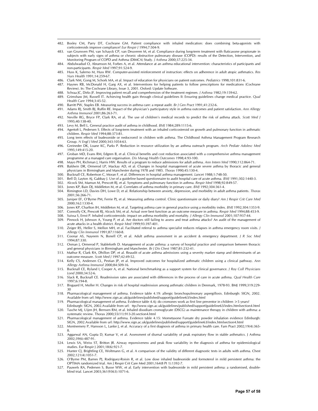- 482. Bosley CM, Parry DT, Cochrane GM. Patient compliance with inhaled medication: does combining beta-agonists with corticosteroids improve compliance? *Eur Respir J* 1994;7:504-9.
- 483. van Grunsven PM, van Schayck CP, van Deuveren M, et al. Compliance during long-term treatment with fluticasone propionate in subjects with early signs of asthma or chronic obstructive pulmonary disease (COPD): results of the Detection, Intervention, and Monitoring Program of COPD and Asthma (DIMCA) Study. *J Asthma* 2000;37:225-34.
- 484. Abdulwadud O, Abramson M, Forbes A, et al. Attendance at an asthma educational intervention: characteristics of participants and non-participants. *Respir Med* 1997;91:524-9.
- 485. Huss K, Salerno M, Huss RW. Computer-assisted reinforcement of instruction: effects on adherence in adult atopic asthmatics. *Res Nurs Health* 1991;14:259-67.
- 486. Clark NM, Gong M, Schork MA, et al. Impact of education for physicians on patient outcomes. *Pediatrics* 1998;101:831-6.
- 487. Haynes RB, McDonald H, Garg AX, et al. Interventions for helping patients to follow prescriptions for medications (Cochrane Review). In: The Cochrane Library, Issue 3, 2001. Oxford: Update Software.
- 488. Schraa JC, Dirks JF. Improving patient recall and comprehension of the treatment regimen. *J Asthma* 1982;19:159-62.
- 489. Grimshaw JM, Russell IT. Achieving health gain through clinical guidelines II: Ensuring guidelines change medical practice. *Qual Health Care* 1994;3:45-52.
- 490. Barritt PW, Staples EB. Measuring success in asthma care: a repeat audit. *Br J Gen Pract* 1991;41:232-6.
- 491. Adams RJ, Smith BJ, Ruffin RE. Impact of the physician's participatory style in asthma outcomes and patient satisfaction. *Ann Allergy Asthma Immunol* 2001;86:263-71.
- 492. Neville RG, Bryce FP, Clark RA, et al. The use of children's medical records to predict the risk of asthma attack. *Scott Med J* 1995;40:138-40.
- 493. Levy M, Bell L. General practice audit of asthma in childhood. *BMJ* 1984;289:1115-6.

- 494. Agertoft L, Pedersen S. Effects of long-term treatment with an inhaled corticosteroid on growth and pulmonary function in asthmatic children. *Respir Med* 1994;88:373-81.
- 495. Long term effects of budesonide or nedocromil in children with asthma. The Childhood Asthma Management Program Research Group. *N Engl J Med* 2000;343:1054-63.
- 496. Greineder DK, Loane KC, Parks P. Reduction in resource utilization by an asthma outreach program. *Arch Pediatr Adolesc Med* 1995;149:415-20.
- 497. Groban MD, Evans RM, Edgren B, et al. Clinical benefits and cost reduction associated with a comprehensive asthma management programme at a managed care organisation. *Dis Manag Health Outcomes* 1998;4:93-100.
- 498. Mayo PH, Richman J, Harris HW. Results of a program to reduce admissions for adult asthma. *Ann Intern Med* 1990;112:864-71.
- 499. Baldwin DR, Ormerod LP, Mackay AD, et al. Changes in hospital management of acute severe asthma by thoracic and general physicians in Birmingham and Manchester during 1978 and 1985. *Thorax* 1990;45:130-4.
- 500. Bucknall CE, Robertson C, Moran F, et al. Differences in hospital asthma management. *Lancet* 1988;1:748-50.
- 501. Bell D, Layton AJ, Gabbay J. Use of a guideline based questionnaire to audit hospital care of acute asthma. *BMJ* 1991;302:1440-3.
- 502. Alcock SM, Mamun M, Prescott RJ, et al. Symptoms and pulmonary function in asthma. *Respir Med* 1998;92:849-57. 503. Jones KP, Bain DJ, Middleton M, et al. Correlates of asthma morbidity in primary care. *BMJ* 1992;304:361-4.
- 504. Rimington LD, Davies DH, Lowe D, et al. Relationship between anxiety, depression, and morbidity in adult asthma patients. *Thorax* 2001;56:266-71.
- 505. Juniper EF, O'Byrne PM, Ferrie PJ, et al. Measuring asthma control. Clinic questionnaire or daily diary? *Am J Respir Crit Care Med* 2000;162:1330-4.
- 506. Jones KP, Charlton IH, Middleton M, et al. Targeting asthma care in general practice using a morbidity index. *BMJ* 1992;304:1353-9.
- 507. Connolly CK, Prescott RJ, Alcock SM, et al. Actual over best function as an outcome measure in asthma. *Respir Med* 1994;88:453-9.
- 508. Suissa S, Ernst P. Inhaled corticosteroids: impact on asthma morbidity and mortality. *J Allergy Clin Immunol* 2001;107:937-44.
- 509. Pinnock H, Johnson A, Young P, et al. Are doctors still failing to assess and treat asthma attacks? An audit of the management of acute attacks in a health district. *Respir Med* 1999;93:397-401.
- 510. Zeiger RS, Heller S, Mellon MH, et al. Facilitated referral to asthma specialist reduces relapses in asthma emergency room visits. *J Allergy Clin Immunol* 1991;87:1160-8.
- 511. Coonar AS, Nayeem N, Bonell CP, et al. Adult asthma assessment in an accident & emergency department. *J R Soc Med* 1994;87:330.
- 512. Osman J, Ormerod P, Stableforth D. Management of acute asthma: a survey of hospital practice and comparison between thoracic and general physicians in Birmingham and Manchester. *Br J Dis Chest* 1987;81:232-41.
- 513. Mathur R, Clark RA, Dhillon DP, et al. Reaudit of acute asthma admissions using a severity marker stamp and determinants of an outcome measure. *Scott Med J* 1997;42:49-52.
- 514. Kelly CS, Andersen CL, Pestian JP, et al. Improved outcomes for hospitalized asthmatic children using a clinical pathway. *Ann Allergy Asthma Immunol* 2000;84:509-16.
- 515. Bucknall CE, Ryland I, Cooper A, et al. National benchmarking as a support system for clinical governance. *J Roy Coll Physicians Lond* 2000;34:52-6.
- 516. Slack R, Bucknall CE. Readmission rates are associated with differences in the process of care in acute asthma. *Qual Health Care* 1997;6:194-8.
- 517. Bisgaard H, Moller H. Changes in risk of hospital readmission among asthmatic children in Denmark, 1978-93. BMJ 1999;319:229- 30
- 518. Pharmacological management of asthma. Evidence table 4.19: allergic bronchopulmonary aspergillosis. Edinburgh: SIGN, 2002. Available from url: http://www.sign.ac.uk/guidelines/published/support/guideline63/index.html
- 519. Pharmacological management of asthma. Evidence table 4.4j: do cromones work as first line preventor in children >5 years?
- Edinburgh: SIGN, 2002.Available from url: ttp://www.sign.ac.uk/guidelines/published/support/guideline63/index.htmlsection4.html 520. Tasche MJ, Uijen JH, Bernsen RM, et al. Inhaled disodium cromoglycate (DSCG) as maintenance therapy in children with asthma: a systematic review. Thorax 2000;55(11):913-20.section4.html
- 521. Pharmacological management of asthma. Evidence table 4.15: Mometasone Furoate dry powder inhalation evidence Edinburgh: SIGN, 2002.Available from url: http://www.sign.ac.uk/guidelines/published/support/guideline63/index.htmlsection4.html
- 522. Montnemery P, Hansson L, Lanke J, et al. Accuracy of a first diagnosis of asthma in primary health care. Fam Pract 2002;19(4):365- 8.
- 523. Aggarwal AN, Gupta D, Kumar V, et al. Assessment of diurnal variability of peak expiratory flow in stable asthmatics. J Asthma 2002;39(6):487-91.
- 524. Lewis SA, Weiss ST, Britton JR. Airway reponsiveness and peak flow variability in the diagnosis of asthma for epidemiological studies. Eur Respir J 2001;18(6):921-7.
- 525. Hunter CJ, Brightling CE, Woltmann G, et al. A comparison of the validity of different diagnostic tests in adults with asthma. Chest 2002;121(4):1051-7.
- 526. O'Byrne PM, Barnes PJ, Rodriguez-Roisin R, et al. Low dose inhaled budesonide and formoterol in mild persistent asthma: the OPTIMA randomized trial. Am J Respir Crit Care Med 2001;164(8 Pt 1):1392-7.
- 527. Pauwels RA, Pedersen S, Busse WW, et al. Early intervention with budesonide in mild persistent asthma: a randomised, doubleblind trial. Lancet 2003;361(9363):1071-6.